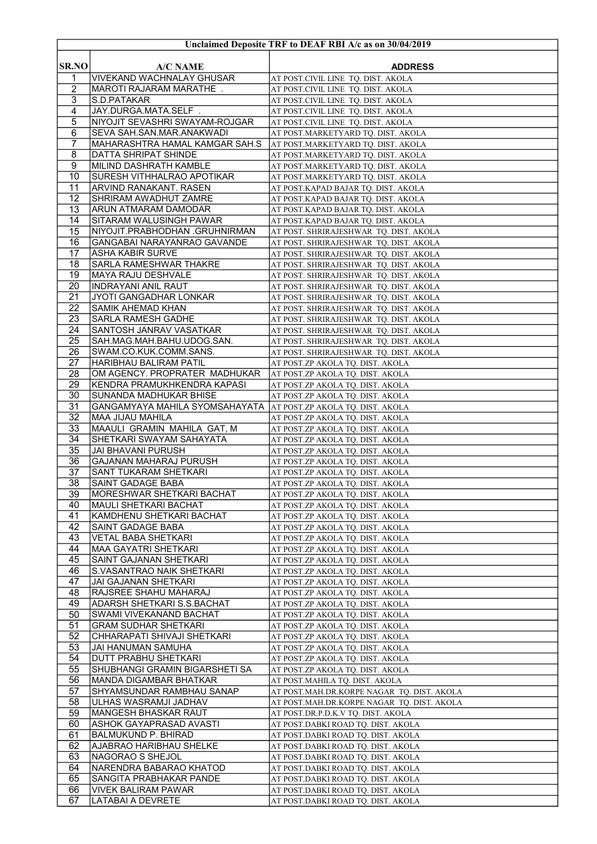|                     |                                                          | Unclaimed Deposite TRF to DEAF RBI A/c as on 30/04/2019                    |
|---------------------|----------------------------------------------------------|----------------------------------------------------------------------------|
| <b>SR.NO</b>        | <b>A/C NAME</b>                                          | <b>ADDRESS</b>                                                             |
| 1                   | <b>VIVEKAND WACHNALAY GHUSAR</b>                         | AT POST.CIVIL LINE TQ. DIST. AKOLA                                         |
| $\overline{2}$      | MAROTI RAJARAM MARATHE.                                  | AT POST.CIVIL LINE TQ. DIST. AKOLA                                         |
| $\overline{3}$      | S.D.PATAKAR                                              | AT POST.CIVIL LINE TQ. DIST. AKOLA                                         |
| 4                   | JAY.DURGA.MATA.SELF .                                    | AT POST.CIVIL LINE TQ. DIST. AKOLA                                         |
| 5                   | NIYOJIT SEVASHRI SWAYAM-ROJGAR                           | AT POST.CIVIL LINE TQ. DIST. AKOLA                                         |
| 6                   | SEVA SAH.SAN.MAR.ANAKWADI                                | AT POST.MARKETYARD TQ. DIST. AKOLA                                         |
| 7                   | <b>MAHARASHTRA HAMAL KAMGAR SAH.S</b>                    | AT POST.MARKETYARD TQ. DIST. AKOLA                                         |
| 8<br>$\overline{9}$ | DATTA SHRIPAT SHINDE<br>MILIND DASHRATH KAMBLE           | AT POST.MARKETYARD TQ. DIST. AKOLA<br>AT POST.MARKETYARD TQ. DIST. AKOLA   |
| 10                  | SURESH VITHHALRAO APOTIKAR                               | AT POST.MARKETYARD TQ. DIST. AKOLA                                         |
| 11                  | <b>ARVIND RANAKANT. RASEN</b>                            | AT POST.KAPAD BAJAR TQ. DIST. AKOLA                                        |
| 12                  | SHRIRAM AWADHUT ZAMRE                                    | AT POST.KAPAD BAJAR TQ. DIST. AKOLA                                        |
| 13                  | ARUN ATMARAM DAMODAR                                     | AT POST.KAPAD BAJAR TQ. DIST. AKOLA                                        |
| 14                  | SITARAM WALUSINGH PAWAR                                  | AT POST.KAPAD BAJAR TQ. DIST. AKOLA                                        |
| 15                  | NIYOJIT.PRABHODHAN .GRUHNIRMAN                           | AT POST. SHRIRAJESHWAR TQ. DIST. AKOLA                                     |
| 16                  | GANGABAI NARAYANRAO GAVANDE                              | AT POST. SHRIRAJESHWAR TO. DIST. AKOLA                                     |
| 17                  | <b>ASHA KABIR SURVE</b>                                  | AT POST. SHRIRAJESHWAR TQ. DIST. AKOLA                                     |
| 18                  | <b>SARLA RAMESHWAR THAKRE</b>                            | AT POST. SHRIRAJESHWAR TQ. DIST. AKOLA                                     |
| 19                  | MAYA RAJU DESHVALE                                       | AT POST. SHRIRAJESHWAR TQ. DIST. AKOLA                                     |
| 20                  | <b>INDRAYANI ANIL RAUT</b>                               | AT POST. SHRIRAJESHWAR  TQ. DIST. AKOLA                                    |
| 21                  | JYOTI GANGADHAR LONKAR                                   | AT POST. SHRIRAJESHWAR TQ. DIST. AKOLA                                     |
| $\overline{22}$     | <b>SAMIK AHEMAD KHAN</b>                                 | AT POST. SHRIRAJESHWAR TQ. DIST. AKOLA                                     |
| 23                  | <b>SARLA RAMESH GADHE</b>                                | AT POST. SHRIRAJESHWAR TO. DIST. AKOLA                                     |
| 24<br>25            | SANTOSH JANRAV VASATKAR                                  | AT POST. SHRIRAJESHWAR TQ. DIST. AKOLA                                     |
| 26                  | SAH.MAG.MAH.BAHU.UDOG.SAN.<br>SWAM.CO.KUK.COMM.SANS.     | AT POST. SHRIRAJESHWAR TQ. DIST. AKOLA                                     |
| 27                  | HARIBHAU BALIRAM PATIL                                   | AT POST. SHRIRAJESHWAR TQ. DIST. AKOLA<br>AT POST.ZP AKOLA TQ. DIST. AKOLA |
| 28                  | OM AGENCY. PROPRATER MADHUKAR                            | AT POST.ZP AKOLA TQ. DIST. AKOLA                                           |
| 29                  | KENDRA PRAMUKHKENDRA KAPASI                              | AT POST.ZP AKOLA TQ. DIST. AKOLA                                           |
| 30                  | <b>SUNANDA MADHUKAR BHISE</b>                            | AT POST.ZP AKOLA TQ. DIST. AKOLA                                           |
| $\overline{31}$     | GANGAMYAYA MAHILA SYOMSAHAYATA                           | AT POST.ZP AKOLA TQ. DIST. AKOLA                                           |
| 32                  | <b>MAA JIJAU MAHILA</b>                                  | AT POST.ZP AKOLA TQ. DIST. AKOLA                                           |
| $\overline{33}$     | MAAULI GRAMIN MAHILA GAT, M                              | AT POST.ZP AKOLA TQ. DIST. AKOLA                                           |
| 34                  | SHETKARI SWAYAM SAHAYATA                                 | AT POST.ZP AKOLA TQ. DIST. AKOLA                                           |
| 35                  | <b>JAI BHAVANI PURUSH</b>                                | AT POST.ZP AKOLA TQ. DIST. AKOLA                                           |
| 36                  | GAJANAN MAHARAJ PURUSH                                   | AT POST.ZP AKOLA TQ. DIST. AKOLA                                           |
| $\overline{37}$     | SANT TUKARAM SHETKARI                                    | AT POST.ZP AKOLA TQ. DIST. AKOLA                                           |
| 38                  | SAINT GADAGE BABA                                        | AT POST.ZP AKOLA TQ. DIST. AKOLA                                           |
| 39                  | <b>IMORESHWAR SHETKARI BACHAT</b>                        | AT POST.ZP AKOLA TQ. DIST. AKOLA                                           |
| 40<br>41            | MAULI SHETKARI BACHAT<br> KAMDHENU SHETKARI BACHAT       | AT POST.ZP AKOLA TQ. DIST. AKOLA                                           |
| 42                  | <b>SAINT GADAGE BABA</b>                                 | AT POST.ZP AKOLA TQ. DIST. AKOLA<br>AT POST.ZP AKOLA TQ. DIST. AKOLA       |
| 43                  | <b>VETAL BABA SHETKARI</b>                               | AT POST.ZP AKOLA TQ. DIST. AKOLA                                           |
| 44                  | <b>MAA GAYATRI SHETKARI</b>                              | AT POST.ZP AKOLA TQ. DIST. AKOLA                                           |
| 45                  | <b>SAINT GAJANAN SHETKARI</b>                            | AT POST.ZP AKOLA TQ. DIST. AKOLA                                           |
| 46                  | S.VASANTRAO NAIK SHETKARI                                | AT POST.ZP AKOLA TQ. DIST. AKOLA                                           |
| 47                  | JAI GAJANAN SHETKARI                                     | AT POST.ZP AKOLA TQ. DIST. AKOLA                                           |
| 48                  | RAJSREE SHAHU MAHARAJ                                    | AT POST.ZP AKOLA TQ. DIST. AKOLA                                           |
| 49                  | ADARSH SHETKARI S.S.BACHAT                               | AT POST.ZP AKOLA TQ. DIST. AKOLA                                           |
| 50                  | <b>SWAMI VIVEKANAND BACHAT</b>                           | AT POST.ZP AKOLA TO. DIST. AKOLA                                           |
| 51                  | <b>GRAM SUDHAR SHETKARI</b>                              | AT POST.ZP AKOLA TQ. DIST. AKOLA                                           |
| 52                  | CHHARAPATI SHIVAJI SHETKARI                              | AT POST.ZP AKOLA TQ. DIST. AKOLA                                           |
| 53                  | JAI HANUMAN SAMUHA                                       | AT POST.ZP AKOLA TQ. DIST. AKOLA                                           |
| 54<br>55            | DUTT PRABHU SHETKARI                                     | AT POST.ZP AKOLA TQ. DIST. AKOLA                                           |
| 56                  | SHUBHANGI GRAMIN BIGARSHETI SA<br>MANDA DIGAMBAR BHATKAR | AT POST.ZP AKOLA TQ. DIST. AKOLA<br>AT POST.MAHILA TQ. DIST. AKOLA         |
| 57                  | SHYAMSUNDAR RAMBHAU SANAP                                | AT POST.MAH.DR.KORPE NAGAR TQ. DIST. AKOLA                                 |
| 58                  | ULHAS WASRAMJI JADHAV                                    | AT POST.MAH.DR.KORPE NAGAR  TQ. DIST. AKOLA                                |
| 59                  | MANGESH BHASKAR RAUT                                     | AT POST.DR.P.D.K.V TQ. DIST. AKOLA                                         |
| 60                  | ASHOK GAYAPRASAD AVASTI                                  | AT POST.DABKI ROAD TQ. DIST. AKOLA                                         |
| 61                  | <b>BALMUKUND P. BHIRAD</b>                               | AT POST.DABKI ROAD TQ. DIST. AKOLA                                         |
| 62                  | AJABRAO HARIBHAU SHELKE                                  | AT POST.DABKI ROAD TQ. DIST. AKOLA                                         |
| 63                  | NAGORAO S SHEJOL                                         | AT POST.DABKI ROAD TQ. DIST. AKOLA                                         |
| 64                  | NARENDRA BABARAO KHATOD                                  | AT POST.DABKI ROAD TQ. DIST. AKOLA                                         |
| 65                  | SANGITA PRABHAKAR PANDE                                  | AT POST.DABKI ROAD TQ. DIST. AKOLA                                         |
| 66                  | <b>VIVEK BALIRAM PAWAR</b>                               | AT POST.DABKI ROAD TQ. DIST. AKOLA                                         |
| 67                  | LATABAI A DEVRETE                                        | AT POST.DABKI ROAD TQ. DIST. AKOLA                                         |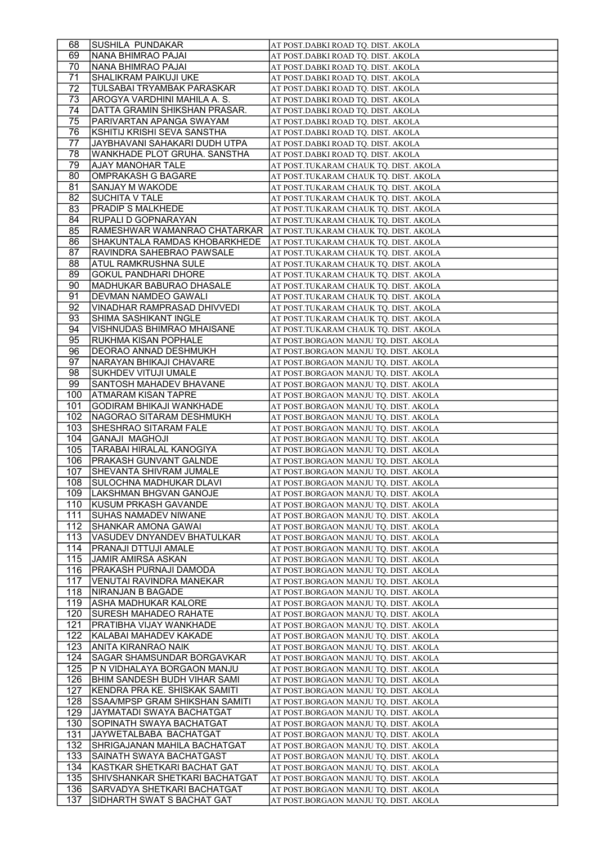| 68  | SUSHILA PUNDAKAR                | AT POST.DABKI ROAD TQ. DIST. AKOLA    |
|-----|---------------------------------|---------------------------------------|
| 69  | NANA BHIMRAO PAJAI              | AT POST.DABKI ROAD TO. DIST. AKOLA    |
| 70  | NANA BHIMRAO PAJAI              | AT POST.DABKI ROAD TO. DIST. AKOLA    |
| 71  | SHALIKRAM PAIKUJI UKE           | AT POST.DABKI ROAD TQ. DIST. AKOLA    |
| 72  | TULSABAI TRYAMBAK PARASKAR      | AT POST.DABKI ROAD TQ. DIST. AKOLA    |
| 73  | AROGYA VARDHINI MAHILA A. S.    | AT POST.DABKI ROAD TQ. DIST. AKOLA    |
| 74  | DATTA GRAMIN SHIKSHAN PRASAR.   | AT POST.DABKI ROAD TQ. DIST. AKOLA    |
| 75  | PARIVARTAN APANGA SWAYAM        | AT POST.DABKI ROAD TQ. DIST. AKOLA    |
| 76  | KSHITIJ KRISHI SEVA SANSTHA     | AT POST.DABKI ROAD TQ. DIST. AKOLA    |
| 77  | JAYBHAVANI SAHAKARI DUDH UTPA   | AT POST.DABKI ROAD TO. DIST. AKOLA    |
| 78  | WANKHADE PLOT GRUHA. SANSTHA    | AT POST.DABKI ROAD TQ. DIST. AKOLA    |
| 79  | AJAY MANOHAR TALE               | AT POST.TUKARAM CHAUK TQ. DIST. AKOLA |
| 80  | <b>OMPRAKASH G BAGARE</b>       | AT POST.TUKARAM CHAUK TQ. DIST. AKOLA |
| 81  | SANJAY M WAKODE                 | AT POST.TUKARAM CHAUK TQ. DIST. AKOLA |
| 82  | <b>SUCHITA V TALE</b>           | AT POST.TUKARAM CHAUK TQ. DIST. AKOLA |
| 83  | PRADIP S MALKHEDE               | AT POST.TUKARAM CHAUK TQ. DIST. AKOLA |
| 84  | RUPALI D GOPNARAYAN             | AT POST.TUKARAM CHAUK TQ. DIST. AKOLA |
| 85  | RAMESHWAR WAMANRAO CHATARKAR    | AT POST.TUKARAM CHAUK TQ. DIST. AKOLA |
| 86  | SHAKUNTALA RAMDAS KHOBARKHEDE   | AT POST.TUKARAM CHAUK TQ. DIST. AKOLA |
| 87  | RAVINDRA SAHEBRAO PAWSALE       | AT POST.TUKARAM CHAUK TQ. DIST. AKOLA |
| 88  | ATUL RAMKRUSHNA SULE            | AT POST.TUKARAM CHAUK TQ. DIST. AKOLA |
| 89  | <b>GOKUL PANDHARI DHORE</b>     | AT POST.TUKARAM CHAUK TQ. DIST. AKOLA |
| 90  | <b>MADHUKAR BABURAO DHASALE</b> | AT POST.TUKARAM CHAUK TQ. DIST. AKOLA |
| 91  | DEVMAN NAMDEO GAWALI            | AT POST.TUKARAM CHAUK TQ. DIST. AKOLA |
| 92  | VINADHAR RAMPRASAD DHIVVEDI     | AT POST.TUKARAM CHAUK TQ. DIST. AKOLA |
| 93  | <b>SHIMA SASHIKANT INGLE</b>    | AT POST.TUKARAM CHAUK TQ. DIST. AKOLA |
| 94  | VISHNUDAS BHIMRAO MHAISANE      | AT POST.TUKARAM CHAUK TQ. DIST. AKOLA |
| 95  | RUKHMA KISAN POPHALE            | AT POST.BORGAON MANJU TQ. DIST. AKOLA |
| 96  | DEORAO ANNAD DESHMUKH           | AT POST.BORGAON MANJU TQ. DIST. AKOLA |
| 97  | NARAYAN BHIKAJI CHAVARE         | AT POST.BORGAON MANJU TQ. DIST. AKOLA |
| 98  | SUKHDEV VITUJI UMALE            | AT POST.BORGAON MANJU TQ. DIST. AKOLA |
| 99  | SANTOSH MAHADEV BHAVANE         | AT POST.BORGAON MANJU TQ. DIST. AKOLA |
| 100 | ATMARAM KISAN TAPRE             | AT POST.BORGAON MANJU TQ. DIST. AKOLA |
| 101 | <b>GODIRAM BHIKAJI WANKHADE</b> | AT POST.BORGAON MANJU TQ. DIST. AKOLA |
| 102 | INAGORAO SITARAM DESHMUKH       | AT POST.BORGAON MANJU TQ. DIST. AKOLA |
| 103 | <b>SHESHRAO SITARAM FALE</b>    | AT POST.BORGAON MANJU TQ. DIST. AKOLA |
| 104 | <b>GANAJI MAGHOJI</b>           | AT POST.BORGAON MANJU TQ. DIST. AKOLA |
| 105 | TARABAI HIRALAL KANOGIYA        | AT POST.BORGAON MANJU TQ. DIST. AKOLA |
| 106 | <b>PRAKASH GUNVANT GALNDE</b>   | AT POST.BORGAON MANJU TQ. DIST. AKOLA |
| 107 | SHEVANTA SHIVRAM JUMALE         | AT POST.BORGAON MANJU TO. DIST. AKOLA |
| 108 | İSULOCHNA MADHUKAR DLAVI        | AT POST.BORGAON MANJU TQ. DIST. AKOLA |
| 109 | LAKSHMAN BHGVAN GANOJE          | AT POST.BORGAON MANJU TQ. DIST. AKOLA |
| 110 | <b>KUSUM PRKASH GAVANDE</b>     | AT POST.BORGAON MANJU TQ. DIST. AKOLA |
| 111 | SUHAS NAMADEV NIWANE            | AT POST.BORGAON MANJU TQ. DIST. AKOLA |
| 112 | SHANKAR AMONA GAWAI             | AT POST.BORGAON MANJU TQ. DIST. AKOLA |
| 113 | VASUDEV DNYANDEV BHATULKAR      | AT POST.BORGAON MANJU TQ. DIST. AKOLA |
| 114 | PRANAJI DTTUJI AMALE            | AT POST.BORGAON MANJU TQ. DIST. AKOLA |
| 115 | <b>JAMIR AMIRSA ASKAN</b>       | AT POST.BORGAON MANJU TQ. DIST. AKOLA |
| 116 | PRAKASH PURNAJI DAMODA          | AT POST.BORGAON MANJU TQ. DIST. AKOLA |
| 117 | VENUTAI RAVINDRA MANEKAR        | AT POST.BORGAON MANJU TQ. DIST. AKOLA |
| 118 | NIRANJAN B BAGADE               | AT POST.BORGAON MANJU TQ. DIST. AKOLA |
| 119 | ASHA MADHUKAR KALORE            | AT POST.BORGAON MANJU TQ. DIST. AKOLA |
| 120 | SURESH MAHADEO RAHATE           | AT POST.BORGAON MANJU TQ. DIST. AKOLA |
| 121 | PRATIBHA VIJAY WANKHADE         | AT POST.BORGAON MANJU TQ. DIST. AKOLA |
| 122 | KALABAI MAHADEV KAKADE          | AT POST.BORGAON MANJU TQ. DIST. AKOLA |
| 123 | ANITA KIRANRAO NAIK             | AT POST.BORGAON MANJU TQ. DIST. AKOLA |
| 124 | SAGAR SHAMSUNDAR BORGAVKAR      | AT POST.BORGAON MANJU TQ. DIST. AKOLA |
| 125 | P N VIDHALAYA BORGAON MANJU     | AT POST.BORGAON MANJU TQ. DIST. AKOLA |
| 126 | BHIM SANDESH BUDH VIHAR SAMI    | AT POST.BORGAON MANJU TQ. DIST. AKOLA |
| 127 | KENDRA PRA KE. SHISKAK SAMITI   | AT POST.BORGAON MANJU TQ. DIST. AKOLA |
| 128 | SSAA/MPSP GRAM SHIKSHAN SAMITI  | AT POST.BORGAON MANJU TQ. DIST. AKOLA |
| 129 | JAYMATADI SWAYA BACHATGAT       | AT POST.BORGAON MANJU TQ. DIST. AKOLA |
| 130 | SOPINATH SWAYA BACHATGAT        | AT POST.BORGAON MANJU TQ. DIST. AKOLA |
| 131 | JAYWETALBABA BACHATGAT          | AT POST.BORGAON MANJU TQ. DIST. AKOLA |
| 132 | SHRIGAJANAN MAHILA BACHATGAT    | AT POST.BORGAON MANJU TQ. DIST. AKOLA |
| 133 | SAINATH SWAYA BACHATGAST        | AT POST.BORGAON MANJU TQ. DIST. AKOLA |
| 134 | KASTKAR SHETKARI BACHAT GAT     | AT POST.BORGAON MANJU TQ. DIST. AKOLA |
| 135 | SHIVSHANKAR SHETKARI BACHATGAT  | AT POST.BORGAON MANJU TQ. DIST. AKOLA |
| 136 | SARVADYA SHETKARI BACHATGAT     | AT POST.BORGAON MANJU TQ. DIST. AKOLA |
| 137 | SIDHARTH SWAT S BACHAT GAT      | AT POST.BORGAON MANJU TQ. DIST. AKOLA |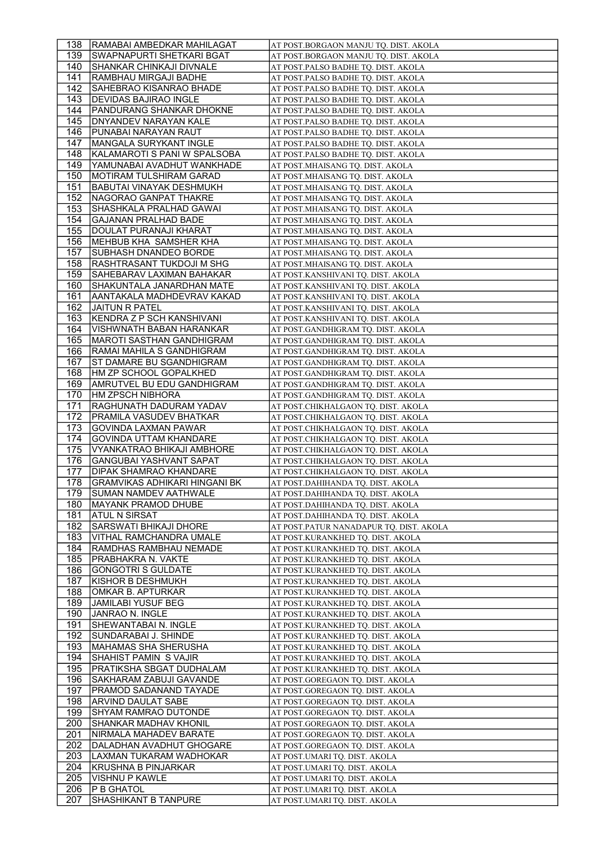| 138        | <b>RAMABAI AMBEDKAR MAHILAGAT</b>    | AT POST.BORGAON MANJU TQ. DIST. AKOLA                          |
|------------|--------------------------------------|----------------------------------------------------------------|
| 139        | <b>SWAPNAPURTI SHETKARI BGAT</b>     | AT POST.BORGAON MANJU TQ. DIST. AKOLA                          |
| 140        | SHANKAR CHINKAJI DIVNALE             | AT POST.PALSO BADHE TQ. DIST. AKOLA                            |
| 141        | RAMBHAU MIRGAJI BADHE                | AT POST.PALSO BADHE TQ. DIST. AKOLA                            |
| 142        | SAHEBRAO KISANRAO BHADE              | AT POST.PALSO BADHE TQ. DIST. AKOLA                            |
| 143        | DEVIDAS BAJIRAO INGLE                | AT POST.PALSO BADHE TQ. DIST. AKOLA                            |
| 144        | PANDURANG SHANKAR DHOKNE             | AT POST.PALSO BADHE TQ. DIST. AKOLA                            |
| 145        | DNYANDEV NARAYAN KALE                | AT POST.PALSO BADHE TQ. DIST. AKOLA                            |
| 146        | PUNABAI NARAYAN RAUT                 | AT POST.PALSO BADHE TQ. DIST. AKOLA                            |
| 147        | MANGALA SURYKANT INGLE               | AT POST.PALSO BADHE TQ. DIST. AKOLA                            |
| 148        | KALAMAROTI S PANI W SPALSOBA         | AT POST.PALSO BADHE TQ. DIST. AKOLA                            |
| 149        | YAMUNABAI AVADHUT WANKHADE           | AT POST.MHAISANG TQ. DIST. AKOLA                               |
| 150        | MOTIRAM TULSHIRAM GARAD              | AT POST.MHAISANG TQ. DIST. AKOLA                               |
| 151        | <b>BABUTAI VINAYAK DESHMUKH</b>      | AT POST.MHAISANG TQ. DIST. AKOLA                               |
| 152        | NAGORAO GANPAT THAKRE                | AT POST.MHAISANG TQ. DIST. AKOLA                               |
| 153        | SHASHKALA PRALHAD GAWAI              | AT POST.MHAISANG TQ. DIST. AKOLA                               |
| 154        | <b>GAJANAN PRALHAD BADE</b>          | AT POST.MHAISANG TQ. DIST. AKOLA                               |
| 155        | DOULAT PURANAJI KHARAT               | AT POST.MHAISANG TQ. DIST. AKOLA                               |
| 156        | MEHBUB KHA SAMSHER KHA               | AT POST.MHAISANG TQ. DIST. AKOLA                               |
| 157        | <b>SUBHASH DNANDEO BORDE</b>         | AT POST.MHAISANG TQ. DIST. AKOLA                               |
| 158        | RASHTRASANT TUKDOJI M SHG            | AT POST.MHAISANG TQ. DIST. AKOLA                               |
| 159        | SAHEBARAV LAXIMAN BAHAKAR            | AT POST.KANSHIVANI TQ. DIST. AKOLA                             |
| 160        | SHAKUNTALA JANARDHAN MATE            | AT POST.KANSHIVANI TQ. DIST. AKOLA                             |
| 161        | AANTAKALA MADHDEVRAV KAKAD           | AT POST.KANSHIVANI TQ. DIST. AKOLA                             |
| 162        | <b>JAITUN R PATEL</b>                | AT POST.KANSHIVANI TQ. DIST. AKOLA                             |
| 163        | KENDRA Z P SCH KANSHIVANI            | AT POST.KANSHIVANI TQ. DIST. AKOLA                             |
| 164        | VISHWNATH BABAN HARANKAR             | AT POST.GANDHIGRAM TQ. DIST. AKOLA                             |
| 165        | MAROTI SASTHAN GANDHIGRAM            | AT POST.GANDHIGRAM TQ. DIST. AKOLA                             |
| 166        | RAMAI MAHILA S GANDHIGRAM            | AT POST.GANDHIGRAM TQ. DIST. AKOLA                             |
| 167        | ST DAMARE BU SGANDHIGRAM             | AT POST.GANDHIGRAM TQ. DIST. AKOLA                             |
| 168        | HM ZP SCHOOL GOPALKHED               | AT POST.GANDHIGRAM TQ. DIST. AKOLA                             |
| 169        | AMRUTVEL BU EDU GANDHIGRAM           | AT POST.GANDHIGRAM TQ. DIST. AKOLA                             |
| 170        | HM ZPSCH NIBHORA                     | AT POST.GANDHIGRAM TQ. DIST. AKOLA                             |
| 171        | RAGHUNATH DADURAM YADAV              | AT POST.CHIKHALGAON TQ. DIST. AKOLA                            |
| 172        | PRAMILA VASUDEV BHATKAR              | AT POST.CHIKHALGAON TQ. DIST. AKOLA                            |
|            |                                      |                                                                |
|            |                                      |                                                                |
| 173        | GOVINDA LAXMAN PAWAR                 | AT POST.CHIKHALGAON TQ. DIST. AKOLA                            |
| 174        | GOVINDA UTTAM KHANDARE               | AT POST.CHIKHALGAON TQ. DIST. AKOLA                            |
| 175        | VYANKATRAO BHIKAJI AMBHORE           | AT POST.CHIKHALGAON TQ. DIST. AKOLA                            |
| 176        | <b>GANGUBAI YASHVANT SAPAT</b>       | AT POST.CHIKHALGAON TQ. DIST. AKOLA                            |
| 177        | DIPAK SHAMRAO KHANDARE               | AT POST.CHIKHALGAON TO. DIST. AKOLA                            |
| 178        | <b>GRAMVIKAS ADHIKARI HINGANI BK</b> | AT POST.DAHIHANDA TQ. DIST. AKOLA                              |
| 179        | SUMAN NAMDEV AATHWALE                | AT POST.DAHIHANDA TQ. DIST. AKOLA                              |
| 180        | MAYANK PRAMOD DHUBE                  | AT POST.DAHIHANDA TQ. DIST. AKOLA                              |
| 181        | <b>ATUL N SIRSAT</b>                 | AT POST.DAHIHANDA TQ. DIST. AKOLA                              |
| 182        | SARSWATI BHIKAJI DHORE               | AT POST.PATUR NANADAPUR TQ. DIST. AKOLA                        |
| 183        | VITHAL RAMCHANDRA UMALE              | AT POST.KURANKHED TQ. DIST. AKOLA                              |
| 184        | RAMDHAS RAMBHAU NEMADE               | AT POST.KURANKHED TQ. DIST. AKOLA                              |
| 185        | PRABHAKRA N. VAKTE                   | AT POST.KURANKHED TQ. DIST. AKOLA                              |
| 186        | <b>GONGOTRI S GULDATE</b>            | AT POST.KURANKHED TQ. DIST. AKOLA                              |
| 187        | KISHOR B DESHMUKH                    | AT POST.KURANKHED TQ. DIST. AKOLA                              |
| 188        | OMKAR B. APTURKAR                    | AT POST.KURANKHED TQ. DIST. AKOLA                              |
| 189        | <b>JAMILABI YUSUF BEG</b>            | AT POST.KURANKHED TO. DIST. AKOLA                              |
| 190        | JANRAO N. INGLE                      | AT POST.KURANKHED TO. DIST. AKOLA                              |
| 191        | SHEWANTABAI N. INGLE                 | AT POST.KURANKHED TQ. DIST. AKOLA                              |
| 192        | SUNDARABAI J. SHINDE                 | AT POST.KURANKHED TQ. DIST. AKOLA                              |
| 193        | MAHAMAS SHA SHERUSHA                 | AT POST.KURANKHED TQ. DIST. AKOLA                              |
| 194        | SHAHIST PAMIN S VAJIR                | AT POST.KURANKHED TQ. DIST. AKOLA                              |
| 195        | PRATIKSHA SBGAT DUDHALAM             | AT POST.KURANKHED TQ. DIST. AKOLA                              |
| 196        | SAKHARAM ZABUJI GAVANDE              | AT POST.GOREGAON TQ. DIST. AKOLA                               |
| 197        | PRAMOD SADANAND TAYADE               | AT POST.GOREGAON TQ. DIST. AKOLA                               |
| 198        | ARVIND DAULAT SABE                   | AT POST.GOREGAON TQ. DIST. AKOLA                               |
| 199        | SHYAM RAMRAO DUTONDE                 | AT POST.GOREGAON TQ. DIST. AKOLA                               |
| 200        | <b>SHANKAR MADHAV KHONIL</b>         | AT POST.GOREGAON TQ. DIST. AKOLA                               |
| 201        | NIRMALA MAHADEV BARATE               | AT POST.GOREGAON TQ. DIST. AKOLA                               |
| 202        | DALADHAN AVADHUT GHOGARE             | AT POST.GOREGAON TQ. DIST. AKOLA                               |
| 203        | LAXMAN TUKARAM WADHOKAR              | AT POST.UMARI TQ. DIST. AKOLA                                  |
| 204        | KRUSHNA B PINJARKAR                  | AT POST.UMARI TQ. DIST. AKOLA                                  |
| 205        | <b>VISHNU P KAWLE</b>                | AT POST.UMARI TQ. DIST. AKOLA                                  |
| 206<br>207 | P B GHATOL<br>SHASHIKANT B TANPURE   | AT POST.UMARI TQ. DIST. AKOLA<br>AT POST.UMARI TQ. DIST. AKOLA |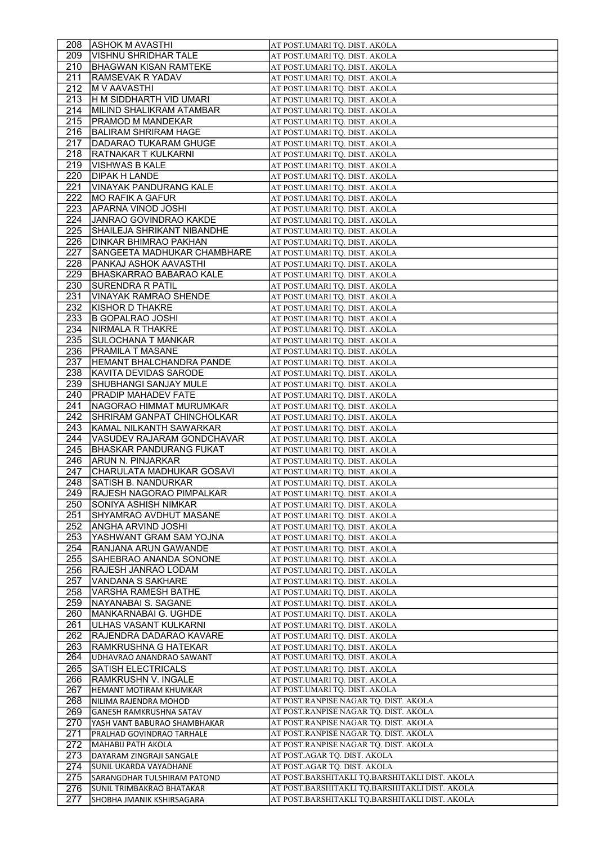| 208              | <b>ASHOK M AVASTHI</b>                             | AT POST.UMARI TQ. DIST. AKOLA                                                                    |
|------------------|----------------------------------------------------|--------------------------------------------------------------------------------------------------|
| 209              | <b>VISHNU SHRIDHAR TALE</b>                        | AT POST.UMARI TO. DIST. AKOLA                                                                    |
| 210              | <b>BHAGWAN KISAN RAMTEKE</b>                       | AT POST.UMARI TO. DIST. AKOLA                                                                    |
| 211              | RAMSEVAK R YADAV                                   | AT POST.UMARI TQ. DIST. AKOLA                                                                    |
| 212              | <b>M V AAVASTHI</b>                                | AT POST.UMARI TO. DIST. AKOLA                                                                    |
| 213              | H M SIDDHARTH VID UMARI                            | AT POST.UMARI TQ. DIST. AKOLA                                                                    |
| 214              | MILIND SHALIKRAM ATAMBAR                           | AT POST.UMARI TQ. DIST. AKOLA                                                                    |
| 215              | PRAMOD M MANDEKAR                                  | AT POST.UMARI TQ. DIST. AKOLA                                                                    |
| 216              | BALIRAM SHRIRAM HAGE                               | AT POST.UMARI TQ. DIST. AKOLA                                                                    |
| 217              | DADARAO TUKARAM GHUGE                              | AT POST.UMARI TQ. DIST. AKOLA                                                                    |
| 218              | RATNAKAR T KULKARNI                                | AT POST.UMARI TQ. DIST. AKOLA                                                                    |
| 219              | <b>VISHWAS B KALE</b>                              | AT POST.UMARI TQ. DIST. AKOLA                                                                    |
| 220              | <b>DIPAK H LANDE</b>                               | AT POST.UMARI TQ. DIST. AKOLA                                                                    |
| 221              | VINAYAK PANDURANG KALE                             | AT POST.UMARI TQ. DIST. AKOLA                                                                    |
| 222              | <b>MO RAFIK A GAFUR</b>                            | AT POST.UMARI TQ. DIST. AKOLA                                                                    |
| 223              | APARNA VINOD JOSHI                                 | AT POST.UMARI TQ. DIST. AKOLA                                                                    |
| 224              | <b>JANRAO GOVINDRAO KAKDE</b>                      | AT POST.UMARI TQ. DIST. AKOLA                                                                    |
| 225              | SHAILEJA SHRIKANT NIBANDHE                         | AT POST.UMARI TQ. DIST. AKOLA                                                                    |
| 226              | <b>DINKAR BHIMRAO PAKHAN</b>                       | AT POST.UMARI TQ. DIST. AKOLA                                                                    |
| 227              | SANGEETA MADHUKAR CHAMBHARE                        | AT POST.UMARI TO. DIST. AKOLA                                                                    |
| 228              | PANKAJ ASHOK AAVASTHI                              | AT POST.UMARI TO. DIST. AKOLA                                                                    |
| 229              | BHASKARRAO BABARAO KALE                            | AT POST.UMARI TQ. DIST. AKOLA                                                                    |
| 230              | SURENDRA R PATIL                                   | AT POST.UMARI TQ. DIST. AKOLA                                                                    |
| 231              | <b>VINAYAK RAMRAO SHENDE</b>                       | AT POST.UMARI TQ. DIST. AKOLA                                                                    |
| 232              | KISHOR D THAKRE                                    | AT POST.UMARI TQ. DIST. AKOLA                                                                    |
| 233              | <b>B GOPALRAO JOSHI</b>                            | AT POST.UMARI TO. DIST. AKOLA                                                                    |
| 234              | NIRMALA R THAKRE                                   | AT POST.UMARI TQ. DIST. AKOLA                                                                    |
| 235              | SULOCHANA T MANKAR                                 | AT POST.UMARI TQ. DIST. AKOLA                                                                    |
| 236              | PRAMILA T MASANE                                   | AT POST.UMARI TQ. DIST. AKOLA                                                                    |
| 237              | <b>HEMANT BHALCHANDRA PANDE</b>                    | AT POST.UMARI TQ. DIST. AKOLA                                                                    |
| 238              | KAVITA DEVIDAS SARODE                              | AT POST.UMARI TQ. DIST. AKOLA                                                                    |
| 239              | SHUBHANGI SANJAY MULE                              | AT POST.UMARI TQ. DIST. AKOLA                                                                    |
| 240              | PRADIP MAHADEV FATE                                | AT POST.UMARI TQ. DIST. AKOLA                                                                    |
| 241              | NAGORAO HIMMAT MURUMKAR                            | AT POST.UMARI TQ. DIST. AKOLA                                                                    |
| 242              | SHRIRAM GANPAT CHINCHOLKAR                         | AT POST.UMARI TQ. DIST. AKOLA                                                                    |
| 243              | KAMAL NILKANTH SAWARKAR                            | AT POST.UMARI TQ. DIST. AKOLA                                                                    |
| 244              | VASUDEV RAJARAM GONDCHAVAR                         | AT POST.UMARI TQ. DIST. AKOLA                                                                    |
| 245              | <b>BHASKAR PANDURANG FUKAT</b>                     | AT POST.UMARI TQ. DIST. AKOLA                                                                    |
| 246              | ARUN N. PINJARKAR                                  | AT POST.UMARI TQ. DIST. AKOLA                                                                    |
| 247              | CHARULATA MADHUKAR GOSAVI                          | AT POST.UMARI TQ. DIST. AKOLA                                                                    |
| 248              |                                                    |                                                                                                  |
|                  |                                                    |                                                                                                  |
|                  | SATISH B. NANDURKAR                                | AT POST.UMARI TQ. DIST. AKOLA                                                                    |
| 249              | <b>RAJESH NAGORAO PIMPALKAR</b>                    | AT POST.UMARI TQ. DIST. AKOLA                                                                    |
| 250              | SONIYA ASHISH NIMKAR                               | AT POST.UMARI TQ. DIST. AKOLA                                                                    |
| 251              | SHYAMRAO AVDHUT MASANE                             | AT POST.UMARI TQ. DIST. AKOLA                                                                    |
| 252              | ANGHA ARVIND JOSHI                                 | AT POST.UMARI TQ. DIST. AKOLA                                                                    |
| 253              | YASHWANT GRAM SAM YOJNA                            | AT POST.UMARI TQ. DIST. AKOLA                                                                    |
| 254              | RANJANA ARUN GAWANDE                               | AT POST.UMARI TQ. DIST. AKOLA                                                                    |
| 255              | SAHEBRAO ANANDA SONONE                             | AT POST.UMARI TQ. DIST. AKOLA                                                                    |
| 256              | RAJESH JANRAO LODAM                                | AT POST.UMARI TQ. DIST. AKOLA                                                                    |
| 257              | VANDANA S SAKHARE                                  | AT POST.UMARI TQ. DIST. AKOLA                                                                    |
| 258              | VARSHA RAMESH BATHE                                | AT POST.UMARI TQ. DIST. AKOLA                                                                    |
| 259              | NAYANABAI S. SAGANE                                | AT POST.UMARI TQ. DIST. AKOLA                                                                    |
| 260              | MANKARNABAI G. UGHDE                               | AT POST.UMARI TQ. DIST. AKOLA                                                                    |
| 261              | ULHAS VASANT KULKARNI                              | AT POST.UMARI TQ. DIST. AKOLA                                                                    |
| 262              | RAJENDRA DADARAO KAVARE                            | AT POST.UMARI TQ. DIST. AKOLA                                                                    |
| 263              | RAMKRUSHNA G HATEKAR                               | AT POST.UMARI TQ. DIST. AKOLA                                                                    |
| 264              | UDHAVRAO ANANDRAO SAWANT                           | AT POST.UMARI TQ. DIST. AKOLA                                                                    |
| 265              | <b>SATISH ELECTRICALS</b>                          | AT POST.UMARI TQ. DIST. AKOLA                                                                    |
| 266              | RAMKRUSHN V. INGALE                                | AT POST.UMARI TQ. DIST. AKOLA                                                                    |
| 267              | HEMANT MOTIRAM KHUMKAR<br>NILIMA RAJENDRA MOHOD    | AT POST.UMARI TQ. DIST. AKOLA<br>AT POST.RANPISE NAGAR TQ. DIST. AKOLA                           |
| 268              |                                                    | AT POST.RANPISE NAGAR TQ. DIST. AKOLA                                                            |
| 269              | GANESH RAMKRUSHNA SATAV                            | AT POST.RANPISE NAGAR TQ. DIST. AKOLA                                                            |
| 270              | YASH VANT BABURAO SHAMBHAKAR                       | AT POST.RANPISE NAGAR TQ. DIST. AKOLA                                                            |
| 271              | PRALHAD GOVINDRAO TARHALE                          |                                                                                                  |
| $\overline{272}$ | MAHABIJ PATH AKOLA                                 | AT POST.RANPISE NAGAR TQ. DIST. AKOLA                                                            |
| 273              | DAYARAM ZINGRAJI SANGALE<br>SUNIL UKARDA VAYADHANE | AT POST.AGAR TQ. DIST. AKOLA                                                                     |
| 274              | SARANGDHAR TULSHIRAM PATOND                        | AT POST.AGAR TQ. DIST. AKOLA                                                                     |
| 275<br>276       | SUNIL TRIMBAKRAO BHATAKAR                          | AT POST.BARSHITAKLI TQ.BARSHITAKLI DIST. AKOLA<br>AT POST.BARSHITAKLI TQ.BARSHITAKLI DIST. AKOLA |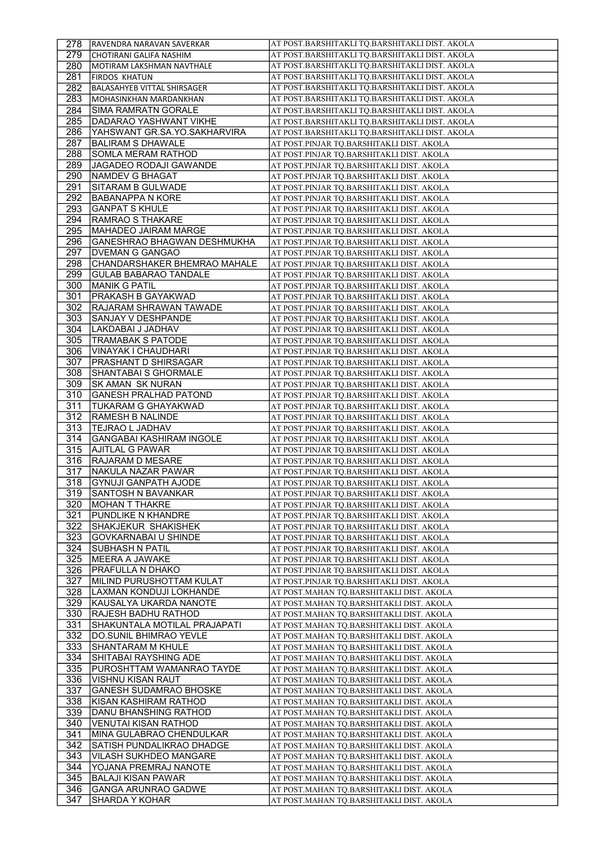| 278 | <b>RAVENDRA NARAVAN SAVERKAR</b>   | AT POST.BARSHITAKLI TQ.BARSHITAKLI DIST. AKOLA |
|-----|------------------------------------|------------------------------------------------|
| 279 | CHOTIRANI GALIFA NASHIM            | AT POST.BARSHITAKLI TQ.BARSHITAKLI DIST. AKOLA |
| 280 | MOTIRAM LAKSHMAN NAVTHALE          | AT POST.BARSHITAKLI TQ.BARSHITAKLI DIST. AKOLA |
| 281 | <b>FIRDOS KHATUN</b>               | AT POST.BARSHITAKLI TQ.BARSHITAKLI DIST. AKOLA |
| 282 | <b>BALASAHYEB VITTAL SHIRSAGER</b> | AT POST.BARSHITAKLI TQ.BARSHITAKLI DIST. AKOLA |
| 283 | MOHASINKHAN MARDANKHAN             | AT POST.BARSHITAKLI TQ.BARSHITAKLI DIST. AKOLA |
| 284 | <b>SIMA RAMRATN GORALE</b>         | AT POST.BARSHITAKLI TQ.BARSHITAKLI DIST. AKOLA |
| 285 | DADARAO YASHWANT VIKHE             | AT POST.BARSHITAKLI TQ.BARSHITAKLI DIST. AKOLA |
| 286 | YAHSWANT GR.SA.YO.SAKHARVIRA       | AT POST.BARSHITAKLI TQ.BARSHITAKLI DIST. AKOLA |
| 287 | <b>BALIRAM S DHAWALE</b>           |                                                |
|     |                                    | AT POST.PINJAR TQ.BARSHITAKLI DIST. AKOLA      |
| 288 | SOMLA MERAM RATHOD                 | AT POST.PINJAR TQ.BARSHITAKLI DIST. AKOLA      |
| 289 | <b>JAGADEO RODAJI GAWANDE</b>      | AT POST.PINJAR TQ.BARSHITAKLI DIST. AKOLA      |
| 290 | NAMDEV G BHAGAT                    | AT POST.PINJAR TQ.BARSHITAKLI DIST. AKOLA      |
| 291 | SITARAM B GULWADE                  | AT POST.PINJAR TQ.BARSHITAKLI DIST. AKOLA      |
| 292 | <b>BABANAPPA N KORE</b>            | AT POST.PINJAR TQ.BARSHITAKLI DIST. AKOLA      |
| 293 | <b>GANPAT S KHULE</b>              | AT POST.PINJAR TQ.BARSHITAKLI DIST. AKOLA      |
| 294 | RAMRAO S THAKARE                   | AT POST.PINJAR TQ.BARSHITAKLI DIST. AKOLA      |
| 295 | MAHADEO JAIRAM MARGE               | AT POST.PINJAR TQ.BARSHITAKLI DIST. AKOLA      |
| 296 | GANESHRAO BHAGWAN DESHMUKHA        | AT POST.PINJAR TO.BARSHITAKLI DIST. AKOLA      |
| 297 | <b>DVEMAN G GANGAO</b>             | AT POST.PINJAR TQ.BARSHITAKLI DIST. AKOLA      |
| 298 | CHANDARSHAKER BHEMRAO MAHALE       | AT POST.PINJAR TQ.BARSHITAKLI DIST. AKOLA      |
| 299 | <b>GULAB BABARAO TANDALE</b>       | AT POST.PINJAR TQ.BARSHITAKLI DIST. AKOLA      |
| 300 | <b>MANIK G PATIL</b>               | AT POST.PINJAR TQ.BARSHITAKLI DIST. AKOLA      |
| 301 | PRAKASH B GAYAKWAD                 | AT POST.PINJAR TQ.BARSHITAKLI DIST. AKOLA      |
| 302 | RAJARAM SHRAWAN TAWADE             | AT POST.PINJAR TQ.BARSHITAKLI DIST. AKOLA      |
| 303 | SANJAY V DESHPANDE                 | AT POST.PINJAR TQ.BARSHITAKLI DIST. AKOLA      |
| 304 | LAKDABAI J JADHAV                  | AT POST.PINJAR TQ.BARSHITAKLI DIST. AKOLA      |
| 305 | <b>TRAMABAK S PATODE</b>           | AT POST.PINJAR TQ.BARSHITAKLI DIST. AKOLA      |
| 306 | <b>VINAYAK I CHAUDHARI</b>         | AT POST.PINJAR TQ.BARSHITAKLI DIST. AKOLA      |
| 307 | PRASHANT D SHIRSAGAR               | AT POST.PINJAR TQ.BARSHITAKLI DIST. AKOLA      |
| 308 | SHANTABAI S GHORMALE               | AT POST.PINJAR TQ.BARSHITAKLI DIST. AKOLA      |
| 309 | SK AMAN SK NURAN                   | AT POST.PINJAR TQ.BARSHITAKLI DIST. AKOLA      |
| 310 | <b>GANESH PRALHAD PATOND</b>       | AT POST.PINJAR TQ.BARSHITAKLI DIST. AKOLA      |
| 311 | TUKARAM G GHAYAKWAD                | AT POST.PINJAR TQ.BARSHITAKLI DIST. AKOLA      |
| 312 | <b>RAMESH B NALINDE</b>            | AT POST.PINJAR TQ.BARSHITAKLI DIST. AKOLA      |
|     |                                    |                                                |
| 313 | TEJRAO L JADHAV                    | AT POST.PINJAR TQ.BARSHITAKLI DIST. AKOLA      |
| 314 | <b>GANGABAI KASHIRAM INGOLE</b>    | AT POST.PINJAR TQ.BARSHITAKLI DIST. AKOLA      |
| 315 | AJITLAL G PAWAR                    | AT POST.PINJAR TQ.BARSHITAKLI DIST. AKOLA      |
| 316 | RAJARAM D MESARE                   | AT POST.PINJAR TQ.BARSHITAKLI DIST. AKOLA      |
| 317 | NAKULA NAZAR PAWAR                 | AT POST.PINJAR TQ.BARSHITAKLI DIST. AKOLA      |
| 318 | <b>GYNUJI GANPATH AJODE</b>        | AT POST.PINJAR TQ.BARSHITAKLI DIST. AKOLA      |
| 319 | <b>SANTOSH N BAVANKAR</b>          | AT POST.PINJAR TQ.BARSHITAKLI DIST. AKOLA      |
| 320 | <b>MOHAN T THAKRE</b>              | AT POST.PINJAR TQ.BARSHITAKLI DIST. AKOLA      |
| 321 | PUNDLIKE N KHANDRE                 | AT POST.PINJAR TQ.BARSHITAKLI DIST. AKOLA      |
| 322 | SHAKJEKUR SHAKISHEK                | AT POST.PINJAR TQ.BARSHITAKLI DIST. AKOLA      |
| 323 | GOVKARNABAI U SHINDE               | AT POST.PINJAR TO.BARSHITAKLI DIST. AKOLA      |
| 324 | SUBHASH N PATIL                    | AT POST.PINJAR TQ.BARSHITAKLI DIST. AKOLA      |
| 325 | MEERA A JAWAKE                     | AT POST.PINJAR TQ.BARSHITAKLI DIST. AKOLA      |
| 326 | PRAFULLA N DHAKO                   | AT POST.PINJAR TQ.BARSHITAKLI DIST. AKOLA      |
| 327 | MILIND PURUSHOTTAM KULAT           | AT POST.PINJAR TQ.BARSHITAKLI DIST. AKOLA      |
| 328 | LAXMAN KONDUJI LOKHANDE            | AT POST.MAHAN TQ.BARSHITAKLI DIST. AKOLA       |
| 329 | KAUSALYA UKARDA NANOTE             | AT POST.MAHAN TQ.BARSHITAKLI DIST. AKOLA       |
| 330 | RAJESH BADHU RATHOD                | AT POST.MAHAN TQ.BARSHITAKLI DIST. AKOLA       |
| 331 | SHAKUNTALA MOTILAL PRAJAPATI       | AT POST.MAHAN TQ.BARSHITAKLI DIST. AKOLA       |
| 332 | DO.SUNIL BHIMRAO YEVLE             | AT POST.MAHAN TQ.BARSHITAKLI DIST. AKOLA       |
| 333 | SHANTARAM M KHULE                  | AT POST.MAHAN TQ.BARSHITAKLI DIST. AKOLA       |
| 334 | SHITABAI RAYSHING ADE              | AT POST.MAHAN TQ.BARSHITAKLI DIST. AKOLA       |
| 335 | PUROSHTTAM WAMANRAO TAYDE          | AT POST.MAHAN TQ.BARSHITAKLI DIST. AKOLA       |
| 336 | <b>VISHNU KISAN RAUT</b>           | AT POST.MAHAN TQ.BARSHITAKLI DIST. AKOLA       |
| 337 | <b>GANESH SUDAMRAO BHOSKE</b>      | AT POST.MAHAN TQ.BARSHITAKLI DIST. AKOLA       |
| 338 | KISAN KASHIRAM RATHOD              | AT POST.MAHAN TQ.BARSHITAKLI DIST. AKOLA       |
| 339 | DANU BHANSHING RATHOD              | AT POST.MAHAN TQ.BARSHITAKLI DIST. AKOLA       |
| 340 | <b>VENUTAI KISAN RATHOD</b>        | AT POST.MAHAN TQ.BARSHITAKLI DIST. AKOLA       |
| 341 | MINA GULABRAO CHENDULKAR           | AT POST.MAHAN TQ.BARSHITAKLI DIST. AKOLA       |
| 342 | SATISH PUNDALIKRAO DHADGE          | AT POST.MAHAN TQ.BARSHITAKLI DIST. AKOLA       |
| 343 | VILASH SUKHDEO MANGARE             | AT POST.MAHAN TQ.BARSHITAKLI DIST. AKOLA       |
| 344 | YOJANA PREMRAJ NANOTE              | AT POST.MAHAN TQ.BARSHITAKLI DIST. AKOLA       |
| 345 | <b>BALAJI KISAN PAWAR</b>          | AT POST.MAHAN TQ.BARSHITAKLI DIST. AKOLA       |
| 346 | <b>GANGA ARUNRAO GADWE</b>         | AT POST.MAHAN TQ.BARSHITAKLI DIST. AKOLA       |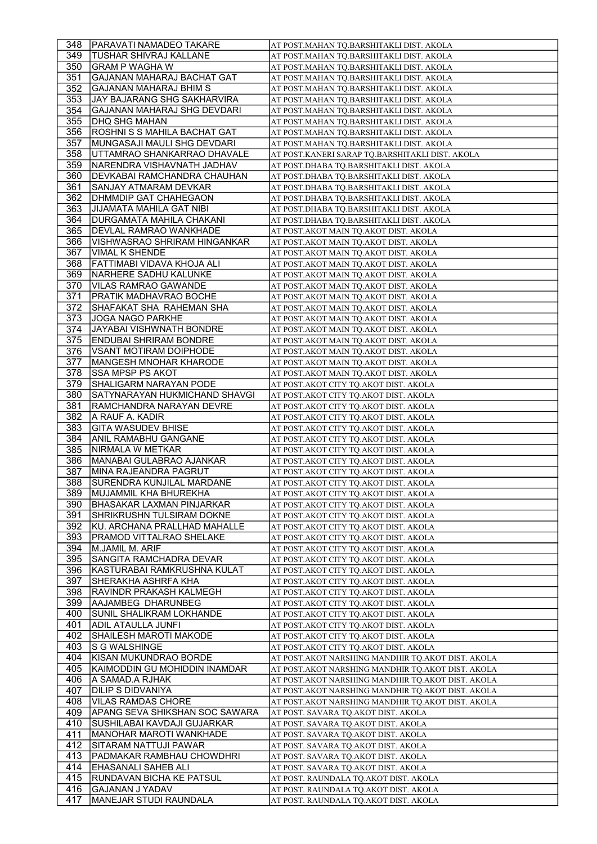| 348        | <b>PARAVATI NAMADEO TAKARE</b>                    | AT POST.MAHAN TQ.BARSHITAKLI DIST. AKOLA                                       |
|------------|---------------------------------------------------|--------------------------------------------------------------------------------|
| 349.       | TUSHAR SHIVRAJ KALLANE                            | AT POST.MAHAN TQ.BARSHITAKLI DIST. AKOLA                                       |
| 350        | GRAM P WAGHA W                                    | AT POST.MAHAN TO.BARSHITAKLI DIST. AKOLA                                       |
| 351        | GAJANAN MAHARAJ BACHAT GAT                        | AT POST.MAHAN TQ.BARSHITAKLI DIST. AKOLA                                       |
| 352        | GAJANAN MAHARAJ BHIM S                            | AT POST.MAHAN TQ.BARSHITAKLI DIST. AKOLA                                       |
| 353        | JAY BAJARANG SHG SAKHARVIRA                       | AT POST.MAHAN TQ.BARSHITAKLI DIST. AKOLA                                       |
| 354        | <b>GAJANAN MAHARAJ SHG DEVDARI</b>                | AT POST.MAHAN TQ.BARSHITAKLI DIST. AKOLA                                       |
| 355        | DHQ SHG MAHAN                                     | AT POST.MAHAN TQ.BARSHITAKLI DIST. AKOLA                                       |
| 356        | ROSHNI S S MAHILA BACHAT GAT                      | AT POST.MAHAN TQ.BARSHITAKLI DIST. AKOLA                                       |
| 357        | MUNGASAJI MAULI SHG DEVDARI                       | AT POST.MAHAN TQ.BARSHITAKLI DIST. AKOLA                                       |
| 358        | UTTAMRAO SHANKARRAO DHAVALE                       | AT POST.KANERI SARAP TQ.BARSHITAKLI DIST. AKOLA                                |
| 359        | NARENDRA VISHAVNATH JADHAV                        | AT POST.DHABA TQ.BARSHITAKLI DIST. AKOLA                                       |
| 360        | DEVKABAI RAMCHANDRA CHAUHAN                       | AT POST.DHABA TQ.BARSHITAKLI DIST. AKOLA                                       |
| 361        | SANJAY ATMARAM DEVKAR                             | AT POST.DHABA TQ.BARSHITAKLI DIST. AKOLA                                       |
| 362        | <b>DHMMDIP GAT CHAHEGAON</b>                      | AT POST.DHABA TQ.BARSHITAKLI DIST. AKOLA                                       |
| 363        | JIJAMATA MAHILA GAT NIBI                          | AT POST.DHABA TQ.BARSHITAKLI DIST. AKOLA                                       |
| 364        | DURGAMATA MAHILA CHAKANI                          | AT POST.DHABA TQ.BARSHITAKLI DIST. AKOLA                                       |
| 365        | DEVLAL RAMRAO WANKHADE                            | AT POST.AKOT MAIN TQ.AKOT DIST. AKOLA                                          |
| 366        | VISHWASRAO SHRIRAM HINGANKAR                      | AT POST.AKOT MAIN TQ.AKOT DIST. AKOLA                                          |
| 367        | <b>VIMAL K SHENDE</b>                             | AT POST.AKOT MAIN TQ.AKOT DIST. AKOLA                                          |
| 368        | FATTIMABI VIDAVA KHOJA ALI                        | AT POST.AKOT MAIN TQ.AKOT DIST. AKOLA                                          |
| 369        | NARHERE SADHU KALUNKE                             | AT POST.AKOT MAIN TQ.AKOT DIST. AKOLA                                          |
| 370        | VILAS RAMRAO GAWANDE                              | AT POST.AKOT MAIN TQ.AKOT DIST. AKOLA                                          |
| 371        | PRATIK MADHAVRAO BOCHE                            | AT POST.AKOT MAIN TQ.AKOT DIST. AKOLA                                          |
| 372        | SHAFAKAT SHA RAHEMAN SHA                          | AT POST.AKOT MAIN TQ.AKOT DIST. AKOLA                                          |
| 373        | <b>JOGA NAGO PARKHE</b>                           | AT POST.AKOT MAIN TQ.AKOT DIST. AKOLA                                          |
| 374        | JAYABAI VISHWNATH BONDRE                          | AT POST.AKOT MAIN TQ.AKOT DIST. AKOLA                                          |
| 375        | <b>ENDUBAI SHRIRAM BONDRE</b>                     | AT POST.AKOT MAIN TQ.AKOT DIST. AKOLA                                          |
| 376        | VSANT MOTIRAM DOIPHODE                            | AT POST.AKOT MAIN TQ.AKOT DIST. AKOLA                                          |
| 377        | MANGESH MNOHAR KHARODE                            | AT POST.AKOT MAIN TQ.AKOT DIST. AKOLA                                          |
| 378        | SSA MPSP PS AKOT                                  | AT POST.AKOT MAIN TQ.AKOT DIST. AKOLA                                          |
| 379        | SHALIGARM NARAYAN PODE                            | AT POST.AKOT CITY TQ.AKOT DIST. AKOLA                                          |
| 380        | SATYNARAYAN HUKMICHAND SHAVGI                     | AT POST.AKOT CITY TQ.AKOT DIST. AKOLA                                          |
| 381        | RAMCHANDRA NARAYAN DEVRE<br>IA RAUF A. KADIR      | AT POST.AKOT CITY TQ.AKOT DIST. AKOLA                                          |
| 382        |                                                   |                                                                                |
|            |                                                   | AT POST.AKOT CITY TQ.AKOT DIST. AKOLA                                          |
| 383        | <b>GITA WASUDEV BHISE</b>                         | AT POST.AKOT CITY TQ.AKOT DIST. AKOLA                                          |
| 384        | ANIL RAMABHU GANGANE                              | AT POST.AKOT CITY TQ.AKOT DIST. AKOLA                                          |
| 385        | NIRMALA W METKAR                                  | AT POST.AKOT CITY TQ.AKOT DIST. AKOLA                                          |
| 386        | MANABAI GULABRAO AJANKAR<br>MINA RAJEANDRA PAGRUT | AT POST.AKOT CITY TQ.AKOT DIST. AKOLA                                          |
| 387<br>388 | <b>SURENDRA KUNJILAL MARDANE</b>                  | AT POST.AKOT CITY TQ.AKOT DIST. AKOLA<br>AT POST.AKOT CITY TQ.AKOT DIST. AKOLA |
| 389        | <b>MUJAMMIL KHA BHUREKHA</b>                      | AT POST.AKOT CITY TQ.AKOT DIST. AKOLA                                          |
| 390        | <b>BHASAKAR LAXMAN PINJARKAR</b>                  | AT POST.AKOT CITY TQ.AKOT DIST. AKOLA                                          |
| 391        | SHRIKRUSHN TULSIRAM DOKNE                         | AT POST.AKOT CITY TQ.AKOT DIST. AKOLA                                          |
| 392        | KU. ARCHANA PRALLHAD MAHALLE                      | AT POST.AKOT CITY TQ.AKOT DIST. AKOLA                                          |
| 393        | PRAMOD VITTALRAO SHELAKE                          | AT POST.AKOT CITY TQ.AKOT DIST. AKOLA                                          |
| 394        | M.JAMIL M. ARIF                                   | AT POST.AKOT CITY TQ.AKOT DIST. AKOLA                                          |
| 395        | SANGITA RAMCHADRA DEVAR                           | AT POST.AKOT CITY TQ.AKOT DIST. AKOLA                                          |
| 396        | KASTURABAI RAMKRUSHNA KULAT                       | AT POST.AKOT CITY TQ.AKOT DIST. AKOLA                                          |
| 397        | SHERAKHA ASHRFA KHA                               | AT POST.AKOT CITY TQ.AKOT DIST. AKOLA                                          |
| 398        | RAVINDR PRAKASH KALMEGH                           | AT POST.AKOT CITY TQ.AKOT DIST. AKOLA                                          |
| 399        | AAJAMBEG DHARUNBEG                                | AT POST.AKOT CITY TQ.AKOT DIST. AKOLA                                          |
| 400        | SUNIL SHALIKRAM LOKHANDE                          | AT POST.AKOT CITY TQ.AKOT DIST. AKOLA                                          |
| 401        | ADIL ATAULLA JUNFI                                | AT POST.AKOT CITY TQ.AKOT DIST. AKOLA                                          |
| 402        | <b>SHAILESH MAROTI MAKODE</b>                     | AT POST.AKOT CITY TQ.AKOT DIST. AKOLA                                          |
| 403        | IS G WALSHINGE                                    | AT POST.AKOT CITY TQ.AKOT DIST. AKOLA                                          |
| 404        | KISAN MUKUNDRAO BORDE                             | AT POST.AKOT NARSHING MANDHIR TQ.AKOT DIST. AKOLA                              |
| 405        | KAIMODDIN GU MOHIDDIN INAMDAR                     | AT POST.AKOT NARSHING MANDHIR TQ.AKOT DIST. AKOLA                              |
| 406        | IA SAMAD.A RJHAK                                  | AT POST.AKOT NARSHING MANDHIR TQ.AKOT DIST. AKOLA                              |
| 407        | DILIP S DIDVANIYA                                 | AT POST.AKOT NARSHING MANDHIR TQ.AKOT DIST. AKOLA                              |
| 408        | <b>VILAS RAMDAS CHORE</b>                         | AT POST.AKOT NARSHING MANDHIR TQ.AKOT DIST. AKOLA                              |
| 409        | IAPANG SEVA SHIKSHAN SOC SAWARA                   | AT POST. SAVARA TQ.AKOT DIST. AKOLA                                            |
| 410        | SUSHILABAI KAVDAJI GUJARKAR                       | AT POST. SAVARA TQ.AKOT DIST. AKOLA                                            |
| 411        | MANOHAR MAROTI WANKHADE                           | AT POST. SAVARA TQ.AKOT DIST. AKOLA                                            |
| 412        | SITARAM NATTUJI PAWAR                             | AT POST. SAVARA TQ.AKOT DIST. AKOLA                                            |
| 413<br>414 | PADMAKAR RAMBHAU CHOWDHRI<br>EHASANALI SAHEB ALI  | AT POST. SAVARA TQ.AKOT DIST. AKOLA                                            |
| 415        | RUNDAVAN BICHA KE PATSUL                          | AT POST. SAVARA TQ.AKOT DIST. AKOLA<br>AT POST. RAUNDALA TQ.AKOT DIST. AKOLA   |
| 416        | GAJANAN J YADAV                                   | AT POST. RAUNDALA TQ.AKOT DIST. AKOLA                                          |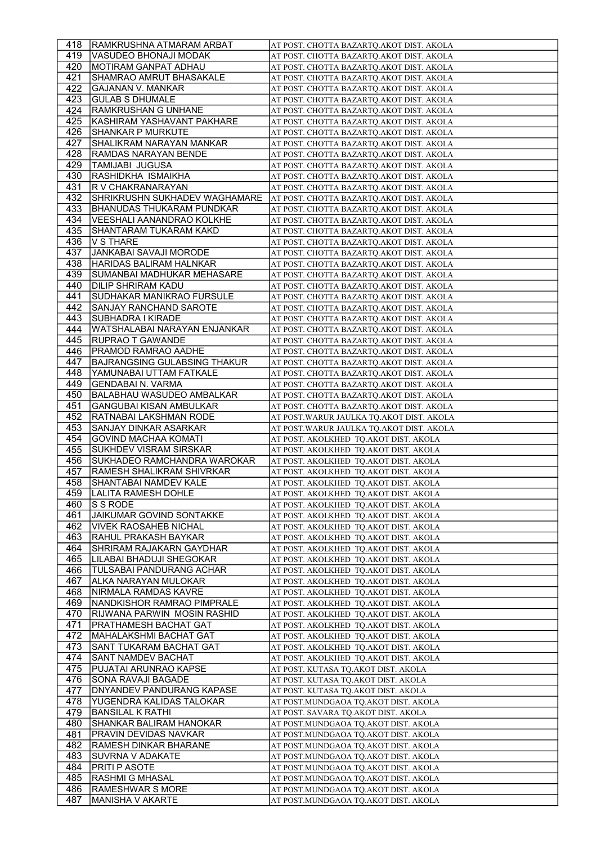| 418         | <b>RAMKRUSHNA ATMARAM ARBAT</b>                             | AT POST. CHOTTA BAZARTQ.AKOT DIST. AKOLA                                             |
|-------------|-------------------------------------------------------------|--------------------------------------------------------------------------------------|
| 419         | VASUDEO BHONAJI MODAK                                       | AT POST. CHOTTA BAZARTQ.AKOT DIST. AKOLA                                             |
| 420         | MOTIRAM GANPAT ADHAU                                        | AT POST. CHOTTA BAZARTQ.AKOT DIST. AKOLA                                             |
| 421         | SHAMRAO AMRUT BHASAKALE                                     | AT POST. CHOTTA BAZARTQ.AKOT DIST. AKOLA                                             |
| 422         | <b>GAJANAN V. MANKAR</b>                                    | AT POST. CHOTTA BAZARTQ.AKOT DIST. AKOLA                                             |
| 423         | <b>GULAB S DHUMALE</b>                                      | AT POST. CHOTTA BAZARTQ.AKOT DIST. AKOLA                                             |
| 424         | RAMKRUSHAN G UNHANE                                         | AT POST. CHOTTA BAZARTQ.AKOT DIST. AKOLA                                             |
| 425         | KASHIRAM YASHAVANT PAKHARE                                  | AT POST. CHOTTA BAZARTQ.AKOT DIST. AKOLA                                             |
| 426         | <b>SHANKAR P MURKUTE</b>                                    | AT POST. CHOTTA BAZARTQ.AKOT DIST. AKOLA                                             |
| 427         | SHALIKRAM NARAYAN MANKAR                                    | AT POST. CHOTTA BAZARTQ.AKOT DIST. AKOLA                                             |
| 428         | RAMDAS NARAYAN BENDE                                        | AT POST. CHOTTA BAZARTQ.AKOT DIST. AKOLA                                             |
| 429         | TAMIJABI JUGUSA                                             | AT POST. CHOTTA BAZARTQ.AKOT DIST. AKOLA                                             |
| 430         | RASHIDKHA ISMAIKHA                                          | AT POST. CHOTTA BAZARTQ.AKOT DIST. AKOLA                                             |
| 431         | R V CHAKRANARAYAN                                           | AT POST. CHOTTA BAZARTQ.AKOT DIST. AKOLA                                             |
| 432         | SHRIKRUSHN SUKHADEV WAGHAMARE                               | AT POST. CHOTTA BAZARTQ.AKOT DIST. AKOLA                                             |
| 433         | BHANUDAS THUKARAM PUNDKAR                                   | AT POST. CHOTTA BAZARTQ.AKOT DIST. AKOLA                                             |
| 434         | VEESHALI AANANDRAO KOLKHE                                   | AT POST. CHOTTA BAZARTQ.AKOT DIST. AKOLA                                             |
| 435         | SHANTARAM TUKARAM KAKD                                      | AT POST. CHOTTA BAZARTQ.AKOT DIST. AKOLA                                             |
| 436         | V S THARE                                                   | AT POST. CHOTTA BAZARTQ.AKOT DIST. AKOLA                                             |
| 437         | <b>JANKABAI SAVAJI MORODE</b>                               | AT POST. CHOTTA BAZARTQ.AKOT DIST. AKOLA                                             |
| 438         | HARIDAS BALIRAM HALNKAR                                     | AT POST. CHOTTA BAZARTQ.AKOT DIST. AKOLA                                             |
| 439         | SUMANBAI MADHUKAR MEHASARE                                  | AT POST. CHOTTA BAZARTQ.AKOT DIST. AKOLA                                             |
| 440         | DILIP SHRIRAM KADU                                          | AT POST. CHOTTA BAZARTQ.AKOT DIST. AKOLA                                             |
| 441         | SUDHAKAR MANIKRAO FURSULE                                   | AT POST. CHOTTA BAZARTQ.AKOT DIST. AKOLA                                             |
| 442.        | <b>SANJAY RANCHAND SAROTE</b>                               | AT POST. CHOTTA BAZARTQ.AKOT DIST. AKOLA                                             |
| 443         | SUBHADRA I KIRADE                                           | AT POST. CHOTTA BAZARTO.AKOT DIST. AKOLA                                             |
| 444         | WATSHALABAI NARAYAN ENJANKAR                                | AT POST. CHOTTA BAZARTQ.AKOT DIST. AKOLA                                             |
| 445         | RUPRAO T GAWANDE                                            | AT POST. CHOTTA BAZARTQ.AKOT DIST. AKOLA                                             |
| 446.<br>447 | PRAMOD RAMRAO AADHE<br>BAJRANGSING GULABSING THAKUR         | AT POST. CHOTTA BAZARTQ.AKOT DIST. AKOLA                                             |
| 448         | YAMUNABAI UTTAM FATKALE                                     | AT POST. CHOTTA BAZARTQ.AKOT DIST. AKOLA<br>AT POST. CHOTTA BAZARTQ.AKOT DIST. AKOLA |
| 449         | <b>GENDABAI N. VARMA</b>                                    | AT POST. CHOTTA BAZARTQ.AKOT DIST. AKOLA                                             |
| 450         | BALABHAU WASUDEO AMBALKAR                                   | AT POST. CHOTTA BAZARTQ.AKOT DIST. AKOLA                                             |
| 451         | <b>GANGUBAI KISAN AMBULKAR</b>                              | AT POST. CHOTTA BAZARTQ.AKOT DIST. AKOLA                                             |
| 452         | RATNABAI LAKSHMAN RODE                                      | AT POST.WARUR JAULKA TQ.AKOT DIST. AKOLA                                             |
| 453         | SANJAY DINKAR ASARKAR                                       | AT POST.WARUR JAULKA TQ.AKOT DIST. AKOLA                                             |
| 454         | <b>GOVIND MACHAA KOMATI</b>                                 | AT POST. AKOLKHED TQ.AKOT DIST. AKOLA                                                |
| 455         | <b>SUKHDEV VISRAM SIRSKAR</b>                               | AT POST. AKOLKHED TQ.AKOT DIST. AKOLA                                                |
|             |                                                             |                                                                                      |
| 456         | SUKHADEO RAMCHANDRA WAROKAR                                 | AT POST. AKOLKHED TQ.AKOT DIST. AKOLA                                                |
| 457         | <b>RAMESH SHALIKRAM SHIVRKAR</b>                            | AT POST. AKOLKHED TO.AKOT DIST. AKOLA                                                |
| 458         | SHANTABAI NAMDEV KALE                                       | AT POST. AKOLKHED TQ.AKOT DIST. AKOLA                                                |
| 459.        | LALITA RAMESH DOHLE                                         | AT POST. AKOLKHED TQ.AKOT DIST. AKOLA                                                |
| 460         | S S RODE                                                    | AT POST. AKOLKHED  TQ.AKOT DIST. AKOLA                                               |
| 461         | JAIKUMAR GOVIND SONTAKKE                                    | AT POST. AKOLKHED TQ.AKOT DIST. AKOLA                                                |
| 462         | <b>VIVEK RAOSAHEB NICHAL</b>                                | AT POST. AKOLKHED TQ.AKOT DIST. AKOLA                                                |
| 463         | RAHUL PRAKASH BAYKAR                                        | AT POST. AKOLKHED  TQ.AKOT DIST. AKOLA                                               |
| 464<br>465  | <b>SHRIRAM RAJAKARN GAYDHAR</b><br>LILABAI BHADUJI SHEGOKAR | AT POST. AKOLKHED TQ.AKOT DIST. AKOLA<br>AT POST. AKOLKHED TO.AKOT DIST. AKOLA       |
| 466         | TULSABAI PANDURANG ACHAR                                    | AT POST. AKOLKHED TQ.AKOT DIST. AKOLA                                                |
| 467         | ALKA NARAYAN MULOKAR                                        | AT POST. AKOLKHED TQ.AKOT DIST. AKOLA                                                |
| 468         | NIRMALA RAMDAS KAVRE                                        | AT POST. AKOLKHED TQ.AKOT DIST. AKOLA                                                |
| 469         | NANDKISHOR RAMRAO PIMPRALE                                  | AT POST. AKOLKHED TQ.AKOT DIST. AKOLA                                                |
| 470         | RIJWANA PARWIN MOSIN RASHID                                 | AT POST. AKOLKHED  TQ.AKOT DIST. AKOLA                                               |
| 471         | PRATHAMESH BACHAT GAT                                       | AT POST. AKOLKHED TQ.AKOT DIST. AKOLA                                                |
| 472         | MAHALAKSHMI BACHAT GAT                                      | AT POST. AKOLKHED TQ.AKOT DIST. AKOLA                                                |
| 473         | SANT TUKARAM BACHAT GAT                                     | AT POST. AKOLKHED TQ.AKOT DIST. AKOLA                                                |
| 474         | SANT NAMDEV BACHAT                                          | AT POST. AKOLKHED  TQ.AKOT DIST. AKOLA                                               |
| 475         | PUJATAI ARUNRAO KAPSE                                       | AT POST. KUTASA TQ.AKOT DIST. AKOLA                                                  |
| 476         | <b>SONA RAVAJI BAGADE</b>                                   | AT POST. KUTASA TQ.AKOT DIST. AKOLA                                                  |
| 477         | DNYANDEV PANDURANG KAPASE                                   | AT POST. KUTASA TQ.AKOT DIST. AKOLA                                                  |
| 478         | YUGENDRA KALIDAS TALOKAR                                    | AT POST.MUNDGAOA TQ.AKOT DIST. AKOLA                                                 |
| 479         | <b>BANSILAL K RATHI</b>                                     | AT POST. SAVARA TQ.AKOT DIST. AKOLA                                                  |
| 480<br>481  | SHANKAR BALIRAM HANOKAR                                     | AT POST.MUNDGAOA TQ.AKOT DIST. AKOLA                                                 |
|             | <b>PRAVIN DEVIDAS NAVKAR</b>                                | AT POST.MUNDGAOA TQ.AKOT DIST. AKOLA<br>AT POST.MUNDGAOA TQ.AKOT DIST. AKOLA         |
| 482<br>483  | RAMESH DINKAR BHARANE<br> SUVRNA V ADAKATE                  | AT POST.MUNDGAOA TQ.AKOT DIST. AKOLA                                                 |
| 484         | <b>PRITI P ASOTE</b>                                        | AT POST.MUNDGAOA TQ.AKOT DIST. AKOLA                                                 |
| 485         | RASHMI G MHASAL                                             | AT POST.MUNDGAOA TQ.AKOT DIST. AKOLA                                                 |
| 486<br>487  | <b>RAMESHWAR S MORE</b><br>MANISHA V AKARTE                 | AT POST.MUNDGAOA TQ.AKOT DIST. AKOLA                                                 |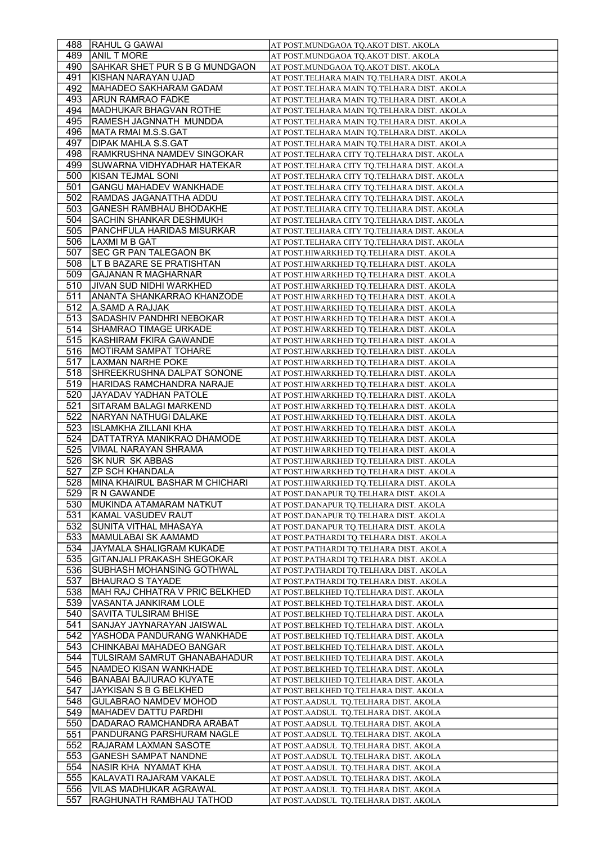| 488        | <b>RAHUL G GAWAI</b>                                   | AT POST.MUNDGAOA TQ.AKOT DIST. AKOLA                                             |
|------------|--------------------------------------------------------|----------------------------------------------------------------------------------|
| 489        | <b>ANIL T MORE</b>                                     | AT POST.MUNDGAOA TQ.AKOT DIST. AKOLA                                             |
| 490.       | SAHKAR SHET PUR S B G MUNDGAON                         | AT POST.MUNDGAOA TQ.AKOT DIST. AKOLA                                             |
| 491        | KISHAN NARAYAN UJAD                                    | AT POST.TELHARA MAIN TQ.TELHARA DIST. AKOLA                                      |
| 492        | MAHADEO SAKHARAM GADAM                                 | AT POST.TELHARA MAIN TQ.TELHARA DIST. AKOLA                                      |
| 493        | ARUN RAMRAO FADKE                                      | AT POST.TELHARA MAIN TQ.TELHARA DIST. AKOLA                                      |
| 494        | MADHUKAR BHAGVAN ROTHE                                 | AT POST.TELHARA MAIN TQ.TELHARA DIST. AKOLA                                      |
| 495        | RAMESH JAGNNATH MUNDDA                                 | AT POST.TELHARA MAIN TQ.TELHARA DIST. AKOLA                                      |
| 496        | MATA RMAI M.S.S.GAT                                    | AT POST.TELHARA MAIN TQ.TELHARA DIST. AKOLA                                      |
| 497        | <b>DIPAK MAHLA S.S.GAT</b>                             | AT POST.TELHARA MAIN TQ.TELHARA DIST. AKOLA                                      |
| 498        | RAMKRUSHNA NAMDEV SINGOKAR                             | AT POST.TELHARA CITY TQ.TELHARA DIST. AKOLA                                      |
| 499        | SUWARNA VIDHYADHAR HATEKAR                             | AT POST.TELHARA CITY TQ.TELHARA DIST. AKOLA                                      |
| 500        | KISAN TEJMAL SONI                                      | AT POST.TELHARA CITY TQ.TELHARA DIST. AKOLA                                      |
| 501        | <b>GANGU MAHADEV WANKHADE</b>                          | AT POST.TELHARA CITY TQ.TELHARA DIST. AKOLA                                      |
| 502        | RAMDAS JAGANATTHA ADDU                                 | AT POST.TELHARA CITY TQ.TELHARA DIST. AKOLA                                      |
| 503        | <b>GANESH RAMBHAU BHODAKHE</b>                         | AT POST.TELHARA CITY TQ.TELHARA DIST. AKOLA                                      |
| 504        | SACHIN SHANKAR DESHMUKH                                | AT POST.TELHARA CITY TQ.TELHARA DIST. AKOLA                                      |
| 505        | PANCHFULA HARIDAS MISURKAR                             | AT POST.TELHARA CITY TQ.TELHARA DIST. AKOLA                                      |
| 506        | ILAXMI M B GAT                                         | AT POST.TELHARA CITY TQ.TELHARA DIST. AKOLA                                      |
| 507        | SEC GR PAN TALEGAON BK                                 | AT POST.HIWARKHED TQ.TELHARA DIST. AKOLA                                         |
| 508        | LT B BAZARE SE PRATISHTAN                              | AT POST.HIWARKHED TQ.TELHARA DIST. AKOLA                                         |
| 509        | GAJANAN R MAGHARNAR                                    | AT POST.HIWARKHED TQ.TELHARA DIST. AKOLA                                         |
| 510        | JIVAN SUD NIDHI WARKHED                                | AT POST.HIWARKHED TQ.TELHARA DIST. AKOLA                                         |
| 511        | ANANTA SHANKARRAO KHANZODE                             | AT POST.HIWARKHED TQ.TELHARA DIST. AKOLA                                         |
| 512        | A.SAMD A RAJJAK                                        | AT POST.HIWARKHED TQ.TELHARA DIST. AKOLA                                         |
| 513        | SADASHIV PANDHRI NEBOKAR                               | AT POST.HIWARKHED TQ.TELHARA DIST. AKOLA                                         |
| 514        | SHAMRAO TIMAGE URKADE                                  | AT POST.HIWARKHED TQ.TELHARA DIST. AKOLA                                         |
| 515        | KASHIRAM FKIRA GAWANDE                                 | AT POST.HIWARKHED TQ.TELHARA DIST. AKOLA                                         |
| 516        | MOTIRAM SAMPAT TOHARE                                  | AT POST.HIWARKHED TQ.TELHARA DIST. AKOLA                                         |
| 517        | LAXMAN NARHE POKE                                      | AT POST.HIWARKHED TQ.TELHARA DIST. AKOLA                                         |
| 518        | SHREEKRUSHNA DALPAT SONONE                             | AT POST.HIWARKHED TQ.TELHARA DIST. AKOLA                                         |
| 519        | HARIDAS RAMCHANDRA NARAJE                              | AT POST.HIWARKHED TQ.TELHARA DIST. AKOLA                                         |
| 520        | JAYADAV YADHAN PATOLE                                  | AT POST.HIWARKHED TQ.TELHARA DIST. AKOLA                                         |
| 521        | SITARAM BALAGI MARKEND                                 | AT POST.HIWARKHED TQ.TELHARA DIST. AKOLA                                         |
| 522        | NARYAN NATHUGI DALAKE                                  | AT POST.HIWARKHED TQ.TELHARA DIST. AKOLA                                         |
|            |                                                        |                                                                                  |
|            |                                                        |                                                                                  |
| 523<br>524 | ISLAMKHA ZILLANI KHA<br>DATTATRYA MANIKRAO DHAMODE     | AT POST.HIWARKHED TQ.TELHARA DIST. AKOLA                                         |
|            |                                                        | AT POST.HIWARKHED TQ.TELHARA DIST. AKOLA                                         |
| 525        | VIMAL NARAYAN SHRAMA                                   | AT POST.HIWARKHED TQ.TELHARA DIST. AKOLA                                         |
| 526        | <b>SK NUR SK ABBAS</b><br><b>ZP SCH KHANDALA</b>       | AT POST.HIWARKHED TQ.TELHARA DIST. AKOLA                                         |
| 527<br>528 |                                                        | AT POST.HIWARKHED TQ.TELHARA DIST. AKOLA                                         |
| 529        | MINA KHAIRUL BASHAR M CHICHARI                         | AT POST.HIWARKHED TQ.TELHARA DIST. AKOLA                                         |
| 530        | <b>R N GAWANDE</b><br>MUKINDA ATAMARAM NATKUT          | AT POST.DANAPUR TQ.TELHARA DIST. AKOLA<br>AT POST.DANAPUR TQ.TELHARA DIST. AKOLA |
|            | KAMAL VASUDEV RAUT                                     |                                                                                  |
| 531        | SUNITA VITHAL MHASAYA                                  | AT POST.DANAPUR TQ.TELHARA DIST. AKOLA<br>AT POST.DANAPUR TQ.TELHARA DIST. AKOLA |
| 532<br>533 | MAMULABAI SK AAMAMD                                    | AT POST.PATHARDI TQ.TELHARA DIST. AKOLA                                          |
| 534        | JAYMALA SHALIGRAM KUKADE                               | AT POST.PATHARDI TQ.TELHARA DIST. AKOLA                                          |
| 535        | <b>GITANJALI PRAKASH SHEGOKAR</b>                      | AT POST.PATHARDI TQ.TELHARA DIST. AKOLA                                          |
| 536        | <b>SUBHASH MOHANSING GOTHWAL</b>                       | AT POST.PATHARDI TQ.TELHARA DIST. AKOLA                                          |
| 537        | <b>BHAURAO S TAYADE</b>                                | AT POST.PATHARDI TQ.TELHARA DIST. AKOLA                                          |
| 538        | MAH RAJ CHHATRA V PRIC BELKHED                         | AT POST.BELKHED TQ.TELHARA DIST. AKOLA                                           |
|            |                                                        | AT POST.BELKHED TQ.TELHARA DIST. AKOLA                                           |
| 539<br>540 | VASANTA JANKIRAM LOLE<br>SAVITA TULSIRAM BHISE         | AT POST.BELKHED TQ.TELHARA DIST. AKOLA                                           |
| 541        | SANJAY JAYNARAYAN JAISWAL                              | AT POST.BELKHED TQ.TELHARA DIST. AKOLA                                           |
| 542        |                                                        |                                                                                  |
| 543        | YASHODA PANDURANG WANKHADE<br>CHINKABAI MAHADEO BANGAR | AT POST.BELKHED TQ.TELHARA DIST. AKOLA                                           |
| 544        | TULSIRAM SAMRUT GHANABAHADUR                           | AT POST.BELKHED TQ.TELHARA DIST. AKOLA                                           |
| 545        | INAMDEO KISAN WANKHADE                                 | AT POST.BELKHED TQ.TELHARA DIST. AKOLA<br>AT POST.BELKHED TQ.TELHARA DIST. AKOLA |
| 546        | <b>BANABAI BAJIURAO KUYATE</b>                         | AT POST.BELKHED TQ.TELHARA DIST. AKOLA                                           |
| 547        | JAYKISAN S B G BELKHED                                 | AT POST.BELKHED TQ.TELHARA DIST. AKOLA                                           |
| 548        | GULABRAO NAMDEV MOHOD                                  | AT POST.AADSUL  TQ.TELHARA DIST. AKOLA                                           |
| 549        | MAHADEV DATTU PARDHI                                   | AT POST.AADSUL TQ.TELHARA DIST. AKOLA                                            |
| 550        | DADARAO RAMCHANDRA ARABAT                              | AT POST.AADSUL  TQ.TELHARA DIST. AKOLA                                           |
| 551        | PANDURANG PARSHURAM NAGLE                              | AT POST.AADSUL TQ.TELHARA DIST. AKOLA                                            |
| 552        | RAJARAM LAXMAN SASOTE                                  | AT POST.AADSUL TQ.TELHARA DIST. AKOLA                                            |
| 553        | <b>GANESH SAMPAT NANDNE</b>                            | AT POST.AADSUL TQ.TELHARA DIST. AKOLA                                            |
| 554        | NASIR KHA NYAMAT KHA                                   | AT POST.AADSUL TQ.TELHARA DIST. AKOLA                                            |
| 555        | KALAVATI RAJARAM VAKALE                                | AT POST.AADSUL TQ.TELHARA DIST. AKOLA                                            |
| 556        | VILAS MADHUKAR AGRAWAL                                 | AT POST.AADSUL  TQ.TELHARA DIST. AKOLA                                           |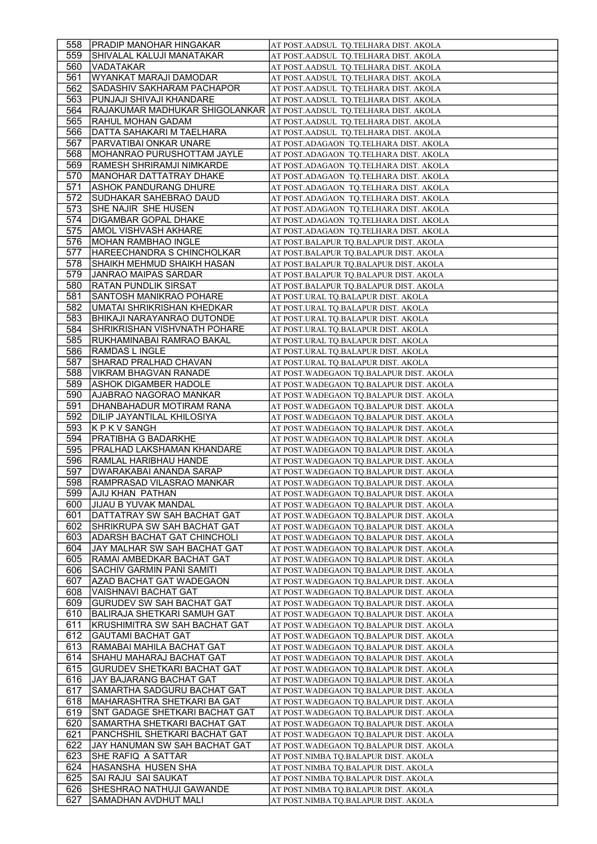| 558        | <b>IPRADIP MANOHAR HINGAKAR</b>                                        | AT POST.AADSUL TQ.TELHARA DIST. AKOLA                                                |
|------------|------------------------------------------------------------------------|--------------------------------------------------------------------------------------|
| 559        | SHIVALAL KALUJI MANATAKAR                                              | AT POST.AADSUL TQ.TELHARA DIST. AKOLA                                                |
| 560        | <b>VADATAKAR</b>                                                       | AT POST. AADSUL TQ. TELHARA DIST. AKOLA                                              |
| 561        | WYANKAT MARAJI DAMODAR                                                 | AT POST.AADSUL TQ.TELHARA DIST. AKOLA                                                |
| 562        | SADASHIV SAKHARAM PACHAPOR                                             | AT POST.AADSUL TQ.TELHARA DIST. AKOLA                                                |
| 563        | PUNJAJI SHIVAJI KHANDARE                                               | AT POST.AADSUL TQ.TELHARA DIST. AKOLA                                                |
| 564        | RAJAKUMAR MADHUKAR SHIGOLANKAR AT POST.AADSUL TQ.TELHARA DIST. AKOLA   |                                                                                      |
| 565        | RAHUL MOHAN GADAM                                                      | AT POST.AADSUL TQ.TELHARA DIST. AKOLA                                                |
| 566        | DATTA SAHAKARI M TAELHARA                                              | AT POST.AADSUL TQ.TELHARA DIST. AKOLA                                                |
| 567        | PARVATIBAI ONKAR UNARE                                                 | AT POST.ADAGAON  TQ.TELHARA DIST. AKOLA                                              |
| 568        | MOHANRAO PURUSHOTTAM JAYLE                                             | AT POST.ADAGAON TQ.TELHARA DIST. AKOLA                                               |
| 569        | RAMESH SHRIRAMJI NIMKARDE                                              | AT POST.ADAGAON TQ.TELHARA DIST. AKOLA                                               |
| 570        | MANOHAR DATTATRAY DHAKE                                                | AT POST.ADAGAON TQ.TELHARA DIST. AKOLA                                               |
| 571        | ASHOK PANDURANG DHURE                                                  | AT POST.ADAGAON TQ.TELHARA DIST. AKOLA                                               |
| 572        | SUDHAKAR SAHEBRAO DAUD                                                 | AT POST.ADAGAON TQ.TELHARA DIST. AKOLA                                               |
| 573        | SHE NAJIR SHE HUSEN                                                    | AT POST.ADAGAON TQ.TELHARA DIST. AKOLA                                               |
| 574        | DIGAMBAR GOPAL DHAKE                                                   | AT POST.ADAGAON TQ.TELHARA DIST. AKOLA                                               |
| 575        | AMOL VISHVASH AKHARE                                                   | AT POST.ADAGAON TQ.TELHARA DIST. AKOLA                                               |
| 576        | <b>MOHAN RAMBHAO INGLE</b>                                             | AT POST.BALAPUR TQ.BALAPUR DIST. AKOLA                                               |
| 577        | HAREECHANDRA S CHINCHOLKAR                                             | AT POST.BALAPUR TQ.BALAPUR DIST. AKOLA                                               |
| 578        | SHAIKH MEHMUD SHAIKH HASAN                                             | AT POST.BALAPUR TQ.BALAPUR DIST. AKOLA                                               |
| 579        | JANRAO MAIPAS SARDAR                                                   | AT POST.BALAPUR TQ.BALAPUR DIST. AKOLA                                               |
| 580        | <b>RATAN PUNDLIK SIRSAT</b>                                            | AT POST.BALAPUR TQ.BALAPUR DIST. AKOLA                                               |
| 581        | SANTOSH MANIKRAO POHARE                                                | AT POST.URAL TQ.BALAPUR DIST. AKOLA                                                  |
| 582        | UMATAI SHRIKRISHAN KHEDKAR                                             | AT POST.URAL TQ.BALAPUR DIST. AKOLA                                                  |
| 583        | BHIKAJI NARAYANRAO DUTONDE                                             | AT POST.URAL TQ.BALAPUR DIST. AKOLA                                                  |
| 584        | SHRIKRISHAN VISHVNATH POHARE                                           | AT POST.URAL TQ.BALAPUR DIST. AKOLA                                                  |
| 585        | RUKHAMINABAI RAMRAO BAKAL                                              | AT POST.URAL TQ.BALAPUR DIST. AKOLA                                                  |
| 586        | RAMDAS L INGLE                                                         | AT POST.URAL TQ.BALAPUR DIST. AKOLA                                                  |
| 587        | SHARAD PRALHAD CHAVAN                                                  | AT POST.URAL TQ.BALAPUR DIST. AKOLA                                                  |
| 588        | <b>VIKRAM BHAGVAN RANADE</b>                                           | AT POST. WADEGAON TQ. BALAPUR DIST. AKOLA                                            |
| 589        | ASHOK DIGAMBER HADOLE                                                  | AT POST. WADEGAON TQ. BALAPUR DIST. AKOLA                                            |
| 590        | AJABRAO NAGORAO MANKAR                                                 | AT POST.WADEGAON TQ.BALAPUR DIST. AKOLA                                              |
| 591        | DHANBAHADUR MOTIRAM RANA                                               | AT POST.WADEGAON TQ.BALAPUR DIST. AKOLA                                              |
| 592        |                                                                        |                                                                                      |
|            |                                                                        |                                                                                      |
|            | DILIP JAYANTILAL KHILOSIYA                                             | AT POST.WADEGAON TQ.BALAPUR DIST. AKOLA                                              |
| 593        | K P K V SANGH                                                          | AT POST.WADEGAON TO.BALAPUR DIST. AKOLA                                              |
| 594        | PRATIBHA G BADARKHE                                                    | AT POST. WADEGAON TQ. BALAPUR DIST. AKOLA                                            |
| 595        | PRALHAD LAKSHAMAN KHANDARE                                             | AT POST. WADEGAON TQ. BALAPUR DIST. AKOLA                                            |
| 596        | RAMLAL HARIBHAU HANDE                                                  | AT POST. WADEGAON TQ. BALAPUR DIST. AKOLA                                            |
| 597        | DWARAKABAI ANANDA SARAP                                                | AT POST.WADEGAON TQ.BALAPUR DIST. AKOLA                                              |
| 598        | RAMPRASAD VILASRAO MANKAR                                              | AT POST.WADEGAON TO.BALAPUR DIST. AKOLA                                              |
| 599        | <b>AJIJ KHAN PATHAN</b>                                                | AT POST. WADEGAON TQ. BALAPUR DIST. AKOLA                                            |
| 600        | JIJAU B YUVAK MANDAL                                                   | AT POST. WADEGAON TQ. BALAPUR DIST. AKOLA                                            |
| 601        | DATTATRAY SW SAH BACHAT GAT                                            | AT POST.WADEGAON TQ.BALAPUR DIST. AKOLA                                              |
| 602        | SHRIKRUPA SW SAH BACHAT GAT                                            | AT POST.WADEGAON TQ.BALAPUR DIST. AKOLA                                              |
| 603        | ADARSH BACHAT GAT CHINCHOLI                                            | AT POST. WADEGAON TQ. BALAPUR DIST. AKOLA                                            |
| 604        | JAY MALHAR SW SAH BACHAT GAT                                           | AT POST.WADEGAON TQ.BALAPUR DIST. AKOLA                                              |
| 605<br>606 | RAMAI AMBEDKAR BACHAT GAT                                              | AT POST. WADEGAON TO. BALAPUR DIST. AKOLA                                            |
| 607        | <b>SACHIV GARMIN PANI SAMITI</b><br>AZAD BACHAT GAT WADEGAON           | AT POST. WADEGAON TQ. BALAPUR DIST. AKOLA<br>AT POST.WADEGAON TQ.BALAPUR DIST. AKOLA |
| 608        | VAISHNAVI BACHAT GAT                                                   | AT POST.WADEGAON TQ.BALAPUR DIST. AKOLA                                              |
|            |                                                                        |                                                                                      |
| 609        | <b>GURUDEV SW SAH BACHAT GAT</b><br><b>BALIRAJA SHETKARI SAMUH GAT</b> | AT POST.WADEGAON TQ.BALAPUR DIST. AKOLA<br>AT POST. WADEGAON TO. BALAPUR DIST. AKOLA |
| 610<br>611 |                                                                        |                                                                                      |
| 612        | KRUSHIMITRA SW SAH BACHAT GAT                                          | AT POST. WADEGAON TQ. BALAPUR DIST. AKOLA                                            |
| 613        | <b>GAUTAMI BACHAT GAT</b>                                              | AT POST. WADEGAON TQ. BALAPUR DIST. AKOLA                                            |
| 614        | RAMABAI MAHILA BACHAT GAT                                              | AT POST.WADEGAON TQ.BALAPUR DIST. AKOLA                                              |
| 615        | SHAHU MAHARAJ BACHAT GAT<br>GURUDEV SHETKARI BACHAT GAT                | AT POST.WADEGAON TQ.BALAPUR DIST. AKOLA<br>AT POST.WADEGAON TQ.BALAPUR DIST. AKOLA   |
| 616        | JAY BAJARANG BACHAT GAT                                                |                                                                                      |
| 617        |                                                                        | AT POST. WADEGAON TQ. BALAPUR DIST. AKOLA                                            |
| 618        | SAMARTHA SADGURU BACHAT GAT<br> MAHARASHTRA SHETKARI BA GAT            | AT POST. WADEGAON TQ. BALAPUR DIST. AKOLA<br>AT POST.WADEGAON TQ.BALAPUR DIST. AKOLA |
| 619        | SNT GADAGE SHETKARI BACHAT GAT                                         | AT POST.WADEGAON TQ.BALAPUR DIST. AKOLA                                              |
| 620        |                                                                        |                                                                                      |
| 621        | SAMARTHA SHETKARI BACHAT GAT<br>PANCHSHIL SHETKARI BACHAT GAT          | AT POST.WADEGAON TQ.BALAPUR DIST. AKOLA                                              |
|            | JAY HANUMAN SW SAH BACHAT GAT                                          | AT POST. WADEGAON TQ. BALAPUR DIST. AKOLA                                            |
| 622        | SHE RAFIQ A SATTAR                                                     | AT POST.WADEGAON TQ.BALAPUR DIST. AKOLA                                              |
| 623<br>624 | HASANSHA HUSEN SHA                                                     | AT POST.NIMBA TQ.BALAPUR DIST. AKOLA                                                 |
| 625        | SAI RAJU SAI SAUKAT                                                    | AT POST.NIMBA TQ.BALAPUR DIST. AKOLA                                                 |
| 626        | SHESHRAO NATHUJI GAWANDE                                               | AT POST.NIMBA TQ.BALAPUR DIST. AKOLA<br>AT POST.NIMBA TQ.BALAPUR DIST. AKOLA         |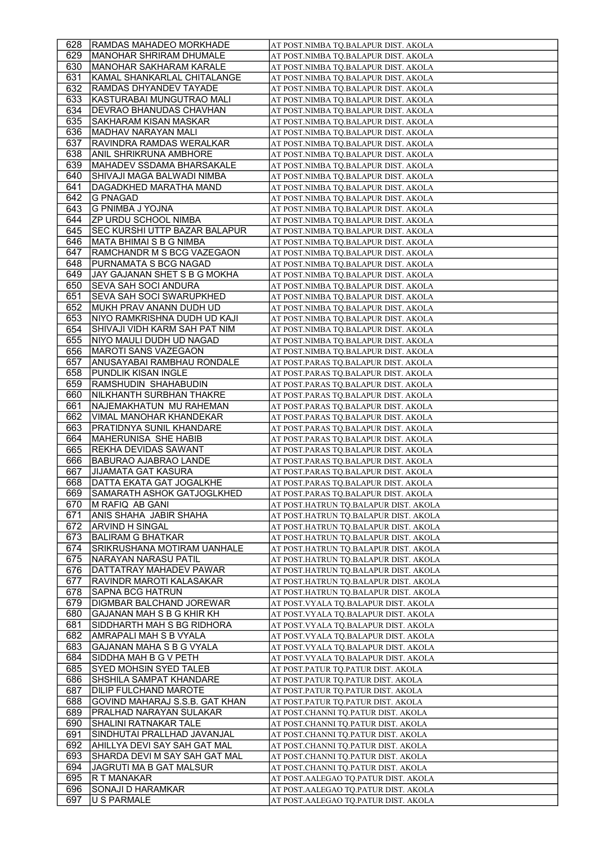| 628        | <b>RAMDAS MAHADEO MORKHADE</b>                                    | AT POST.NIMBA TQ.BALAPUR DIST. AKOLA                                           |
|------------|-------------------------------------------------------------------|--------------------------------------------------------------------------------|
| 629        | MANOHAR SHRIRAM DHUMALE                                           | AT POST.NIMBA TQ.BALAPUR DIST. AKOLA                                           |
| 630        | MANOHAR SAKHARAM KARALE                                           | AT POST.NIMBA TQ.BALAPUR DIST. AKOLA                                           |
| 631        | KAMAL SHANKARLAL CHITALANGE                                       | AT POST.NIMBA TQ.BALAPUR DIST. AKOLA                                           |
| 632        | RAMDAS DHYANDEV TAYADE                                            | AT POST.NIMBA TQ.BALAPUR DIST. AKOLA                                           |
| 633        | KASTURABAI MUNGUTRAO MALI                                         | AT POST.NIMBA TQ.BALAPUR DIST. AKOLA                                           |
| 634        | DEVRAO BHANUDAS CHAVHAN                                           | AT POST.NIMBA TQ.BALAPUR DIST. AKOLA                                           |
| 635        | SAKHARAM KISAN MASKAR                                             | AT POST.NIMBA TQ.BALAPUR DIST. AKOLA                                           |
| 636        | MADHAV NARAYAN MALI                                               | AT POST.NIMBA TQ.BALAPUR DIST. AKOLA                                           |
| 637        | RAVINDRA RAMDAS WERALKAR                                          | AT POST.NIMBA TQ.BALAPUR DIST. AKOLA                                           |
| 638        | ANIL SHRIKRUNA AMBHORE                                            | AT POST.NIMBA TQ.BALAPUR DIST. AKOLA                                           |
| 639        | MAHADEV SSDAMA BHARSAKALE                                         | AT POST.NIMBA TQ.BALAPUR DIST. AKOLA                                           |
| 640.       | SHIVAJI MAGA BALWADI NIMBA                                        | AT POST.NIMBA TQ.BALAPUR DIST. AKOLA                                           |
| 641        | DAGADKHED MARATHA MAND                                            | AT POST.NIMBA TQ.BALAPUR DIST. AKOLA                                           |
| 642        | <b>G PNAGAD</b>                                                   | AT POST.NIMBA TQ.BALAPUR DIST. AKOLA                                           |
| 643        | G PNIMBA J YOJNA                                                  | AT POST.NIMBA TQ.BALAPUR DIST. AKOLA                                           |
| 644        | <b>ZP URDU SCHOOL NIMBA</b>                                       | AT POST.NIMBA TQ.BALAPUR DIST. AKOLA                                           |
| 645<br>646 | SEC KURSHI UTTP BAZAR BALAPUR<br>IMATA BHIMAI S B G NIMBA         | AT POST.NIMBA TQ.BALAPUR DIST. AKOLA                                           |
| 647        | RAMCHANDR M S BCG VAZEGAON                                        | AT POST.NIMBA TQ.BALAPUR DIST. AKOLA                                           |
| 648        | PURNAMATA S BCG NAGAD                                             | AT POST.NIMBA TQ.BALAPUR DIST. AKOLA                                           |
| 649        | JAY GAJANAN SHET S B G MOKHA                                      | AT POST.NIMBA TQ.BALAPUR DIST. AKOLA                                           |
| 650        | SEVA SAH SOCI ANDURA                                              | AT POST.NIMBA TQ.BALAPUR DIST. AKOLA<br>AT POST.NIMBA TQ.BALAPUR DIST. AKOLA   |
| 651        | <b>SEVA SAH SOCI SWARUPKHED</b>                                   | AT POST.NIMBA TO.BALAPUR DIST. AKOLA                                           |
| 652        | MUKH PRAV ANANN DUDH UD                                           | AT POST.NIMBA TQ.BALAPUR DIST. AKOLA                                           |
| 653        | NIYO RAMKRISHNA DUDH UD KAJI                                      | AT POST.NIMBA TQ.BALAPUR DIST. AKOLA                                           |
| 654        | SHIVAJI VIDH KARM SAH PAT NIM                                     | AT POST.NIMBA TQ.BALAPUR DIST. AKOLA                                           |
| 655        | NIYO MAULI DUDH UD NAGAD                                          | AT POST.NIMBA TQ.BALAPUR DIST. AKOLA                                           |
| 656        | MAROTI SANS VAZEGAON                                              | AT POST.NIMBA TQ.BALAPUR DIST. AKOLA                                           |
| 657        | ANUSAYABAI RAMBHAU RONDALE                                        | AT POST.PARAS TQ.BALAPUR DIST. AKOLA                                           |
| 658        | PUNDLIK KISAN INGLE                                               | AT POST.PARAS TQ.BALAPUR DIST. AKOLA                                           |
| 659        | RAMSHUDIN SHAHABUDIN                                              | AT POST.PARAS TQ.BALAPUR DIST. AKOLA                                           |
| 660        | NILKHANTH SURBHAN THAKRE                                          | AT POST.PARAS TQ.BALAPUR DIST. AKOLA                                           |
| 661        | NAJEMAKHATUN MU RAHEMAN                                           | AT POST.PARAS TQ.BALAPUR DIST. AKOLA                                           |
| 662        | VIMAL MANOHAR KHANDEKAR                                           | AT POST.PARAS TQ.BALAPUR DIST. AKOLA                                           |
| 663        | PRATIDNYA SUNIL KHANDARE                                          | AT POST.PARAS TQ.BALAPUR DIST. AKOLA                                           |
| 664        | MAHERUNISA SHE HABIB                                              | AT POST.PARAS TQ.BALAPUR DIST. AKOLA                                           |
| 665        | REKHA DEVIDAS SAWANT                                              | AT POST.PARAS TQ.BALAPUR DIST. AKOLA                                           |
| 666        | <b>BABURAO AJABRAO LANDE</b>                                      | AT POST.PARAS TQ.BALAPUR DIST. AKOLA                                           |
| 667        | <b>JIJAMATA GAT KASURA</b>                                        | AT POST.PARAS TQ.BALAPUR DIST. AKOLA                                           |
| 668        | DATTA EKATA GAT JOGALKHE                                          | AT POST.PARAS TO.BALAPUR DIST. AKOLA                                           |
| 669        | SAMARATH ASHOK GATJOGLKHED                                        | AT POST.PARAS TQ.BALAPUR DIST. AKOLA                                           |
| 670        | M RAFIQ AB GANI                                                   | AT POST.HATRUN TQ.BALAPUR DIST. AKOLA                                          |
| 671        | ANIS SHAHA JABIR SHAHA                                            | AT POST.HATRUN TQ.BALAPUR DIST. AKOLA                                          |
| 672        | ARVIND H SINGAL                                                   | AT POST.HATRUN TQ.BALAPUR DIST. AKOLA                                          |
| 673        | BALIRAM G BHATKAR                                                 | AT POST.HATRUN TQ.BALAPUR DIST. AKOLA                                          |
| 674<br>675 | <b>SRIKRUSHANA MOTIRAM UANHALE</b><br><b>NARAYAN NARASU PATIL</b> | AT POST.HATRUN TQ.BALAPUR DIST. AKOLA                                          |
| 676        | DATTATRAY MAHADEV PAWAR                                           | AT POST.HATRUN TQ.BALAPUR DIST. AKOLA<br>AT POST.HATRUN TO.BALAPUR DIST. AKOLA |
| 677        | RAVINDR MAROTI KALASAKAR                                          | AT POST.HATRUN TQ.BALAPUR DIST. AKOLA                                          |
| 678        | <b>SAPNA BCG HATRUN</b>                                           | AT POST.HATRUN TQ.BALAPUR DIST. AKOLA                                          |
| 679        | DIGMBAR BALCHAND JOREWAR                                          | AT POST.VYALA TQ.BALAPUR DIST. AKOLA                                           |
| 680        | GAJANAN MAH S B G KHIR KH                                         | AT POST.VYALA TQ.BALAPUR DIST. AKOLA                                           |
| 681        | SIDDHARTH MAH S BG RIDHORA                                        | AT POST.VYALA TQ.BALAPUR DIST. AKOLA                                           |
| 682        | AMRAPALI MAH S B VYALA                                            | AT POST.VYALA TQ.BALAPUR DIST. AKOLA                                           |
| 683        | GAJANAN MAHA S B G VYALA                                          | AT POST.VYALA TQ.BALAPUR DIST. AKOLA                                           |
| 684        | SIDDHA MAH B G V PETH                                             | AT POST.VYALA TQ.BALAPUR DIST. AKOLA                                           |
| 685        | <b>SYED MOHSIN SYED TALEB</b>                                     | AT POST.PATUR TQ.PATUR DIST. AKOLA                                             |
| 686        | SHSHILA SAMPAT KHANDARE                                           | AT POST.PATUR TQ.PATUR DIST. AKOLA                                             |
| 687        | <b>DILIP FULCHAND MAROTE</b>                                      | AT POST.PATUR TQ.PATUR DIST. AKOLA                                             |
| 688        | GOVIND MAHARAJ S.S.B. GAT KHAN                                    | AT POST.PATUR TQ.PATUR DIST. AKOLA                                             |
| 689        | PRALHAD NARAYAN SULAKAR                                           | AT POST.CHANNI TQ.PATUR DIST. AKOLA                                            |
| 690        | SHALINI RATNAKAR TALE                                             | AT POST.CHANNI TQ.PATUR DIST. AKOLA                                            |
| 691        | SINDHUTAI PRALLHAD JAVANJAL                                       | AT POST.CHANNI TQ.PATUR DIST. AKOLA                                            |
| 692        | AHILLYA DEVI SAY SAH GAT MAL                                      | AT POST.CHANNI TQ.PATUR DIST. AKOLA                                            |
| 693        | SHARDA DEVI M SAY SAH GAT MAL                                     | AT POST.CHANNI TQ.PATUR DIST. AKOLA                                            |
| 694        | JAGRUTI MA B GAT MALSUR                                           | AT POST.CHANNI TQ.PATUR DIST. AKOLA                                            |
| 695        | R T MANAKAR                                                       | AT POST.AALEGAO TQ.PATUR DIST. AKOLA                                           |
| 696        | SONAJI D HARAMKAR                                                 | AT POST.AALEGAO TQ.PATUR DIST. AKOLA                                           |
| 697        | U S PARMALE                                                       | AT POST.AALEGAO TQ.PATUR DIST. AKOLA                                           |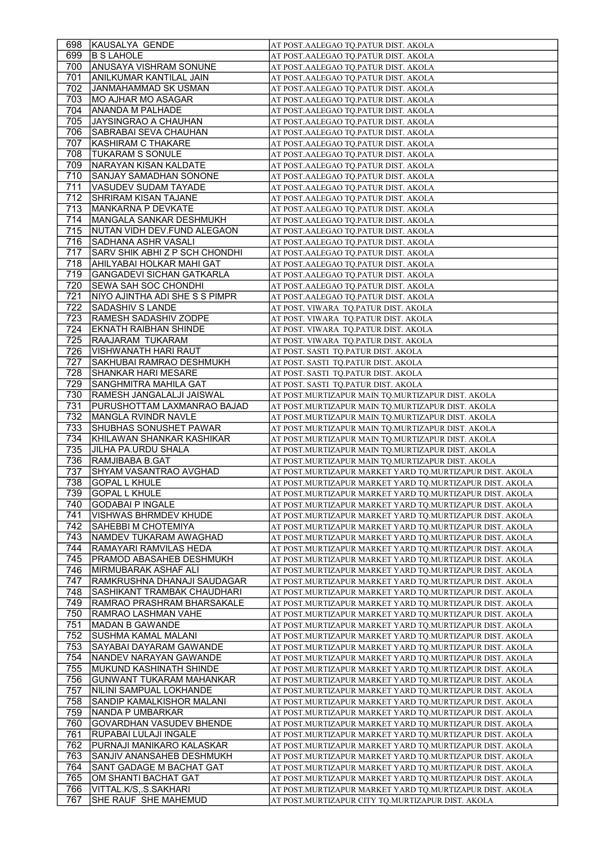| 698        | KAUSALYA GENDE                                             | AT POST.AALEGAO TQ.PATUR DIST. AKOLA                                                                                 |
|------------|------------------------------------------------------------|----------------------------------------------------------------------------------------------------------------------|
| 699        | <b>B S LAHOLE</b>                                          | AT POST.AALEGAO TO.PATUR DIST. AKOLA                                                                                 |
| 700        | <b>ANUSAYA VISHRAM SONUNE</b>                              | AT POST.AALEGAO TQ.PATUR DIST. AKOLA                                                                                 |
| 701        | ANILKUMAR KANTILAL JAIN                                    | AT POST.AALEGAO TQ.PATUR DIST. AKOLA                                                                                 |
| 702        | JANMAHAMMAD SK USMAN                                       | AT POST.AALEGAO TQ.PATUR DIST. AKOLA                                                                                 |
| 703        | MO AJHAR MO ASAGAR                                         | AT POST.AALEGAO TQ.PATUR DIST. AKOLA                                                                                 |
| 704        | ANANDA M PALHADE                                           | AT POST.AALEGAO TQ.PATUR DIST. AKOLA                                                                                 |
| 705        | <b>JAYSINGRAO A CHAUHAN</b>                                | AT POST.AALEGAO TQ.PATUR DIST. AKOLA                                                                                 |
| 706        | SABRABAI SEVA CHAUHAN                                      | AT POST.AALEGAO TQ.PATUR DIST. AKOLA                                                                                 |
| 707        | KASHIRAM C THAKARE                                         | AT POST.AALEGAO TO.PATUR DIST. AKOLA                                                                                 |
| 708        | <b>TUKARAM S SONULE</b>                                    | AT POST.AALEGAO TQ.PATUR DIST. AKOLA                                                                                 |
| 709        | NARAYAN KISAN KALDATE                                      | AT POST.AALEGAO TQ.PATUR DIST. AKOLA                                                                                 |
| 710        | SANJAY SAMADHAN SONONE                                     | AT POST.AALEGAO TO.PATUR DIST. AKOLA                                                                                 |
| 711        | VASUDEV SUDAM TAYADE                                       | AT POST.AALEGAO TQ.PATUR DIST. AKOLA                                                                                 |
| 712        | <b>SHRIRAM KISAN TAJANE</b>                                | AT POST.AALEGAO TQ.PATUR DIST. AKOLA                                                                                 |
| 713        | MANKARNA P DEVKATE                                         | AT POST.AALEGAO TQ.PATUR DIST. AKOLA                                                                                 |
| 714        | MANGALA SANKAR DESHMUKH                                    | AT POST.AALEGAO TQ.PATUR DIST. AKOLA                                                                                 |
| 715        | INUTAN VIDH DEV.FUND ALEGAON                               | AT POST.AALEGAO TQ.PATUR DIST. AKOLA                                                                                 |
| 716        | SADHANA ASHR VASALI                                        | AT POST.AALEGAO TQ.PATUR DIST. AKOLA                                                                                 |
| 717        | SARV SHIK ABHIZ P SCH CHONDHI                              | AT POST.AALEGAO TQ.PATUR DIST. AKOLA                                                                                 |
| 718        | AHILYABAI HOLKAR MAHI GAT                                  | AT POST.AALEGAO TQ.PATUR DIST. AKOLA                                                                                 |
| 719        | <b>GANGADEVI SICHAN GATKARLA</b>                           | AT POST.AALEGAO TQ.PATUR DIST. AKOLA                                                                                 |
| 720        | SEWA SAH SOC CHONDHI                                       | AT POST.AALEGAO TQ.PATUR DIST. AKOLA                                                                                 |
| 721        | NIYO AJINTHA ADI SHE S S PIMPR                             | AT POST.AALEGAO TQ.PATUR DIST. AKOLA                                                                                 |
| 722        | <b>SADASHIV S LANDE</b>                                    | AT POST. VIWARA TQ.PATUR DIST. AKOLA                                                                                 |
| 723        | RAMESH SADASHIV ZODPE                                      | AT POST. VIWARA TQ.PATUR DIST. AKOLA                                                                                 |
| 724        | <b>EKNATH RAIBHAN SHINDE</b>                               | AT POST. VIWARA TQ.PATUR DIST. AKOLA                                                                                 |
| 725        | RAAJARAM TUKARAM                                           | AT POST. VIWARA TQ.PATUR DIST. AKOLA                                                                                 |
| 726        | <b>VISHWANATH HARI RAUT</b>                                | AT POST. SASTI  TQ.PATUR DIST. AKOLA                                                                                 |
| 727        | SAKHUBAI RAMRAO DESHMUKH                                   | AT POST. SASTI  TQ.PATUR DIST. AKOLA                                                                                 |
| 728        | <b>SHANKAR HARI MESARE</b>                                 | AT POST. SASTI TQ.PATUR DIST. AKOLA                                                                                  |
| 729        | SANGHMITRA MAHILA GAT                                      | AT POST. SASTI TQ.PATUR DIST. AKOLA                                                                                  |
| 730        | RAMESH JANGALALJI JAISWAL                                  | AT POST.MURTIZAPUR MAIN TQ.MURTIZAPUR DIST. AKOLA                                                                    |
| 731        | PURUSHOTTAM LAXMANRAO BAJAD                                | AT POST.MURTIZAPUR MAIN TQ.MURTIZAPUR DIST. AKOLA                                                                    |
| 732        | MANGLA RVINDR NAVLE                                        | AT POST.MURTIZAPUR MAIN TQ.MURTIZAPUR DIST. AKOLA                                                                    |
|            |                                                            |                                                                                                                      |
|            |                                                            |                                                                                                                      |
| 733        | <b>SHUBHAS SONUSHET PAWAR</b>                              | AT POST.MURTIZAPUR MAIN TQ.MURTIZAPUR DIST. AKOLA                                                                    |
| 734        | KHILAWAN SHANKAR KASHIKAR                                  | AT POST.MURTIZAPUR MAIN TQ.MURTIZAPUR DIST. AKOLA                                                                    |
| 735        | JILHA PA.URDU SHALA                                        | AT POST.MURTIZAPUR MAIN TQ.MURTIZAPUR DIST. AKOLA                                                                    |
| 736        | RAMJIBABA B.GAT                                            | AT POST.MURTIZAPUR MAIN TQ.MURTIZAPUR DIST. AKOLA                                                                    |
| 737        | <b>SHYAM VASANTRAO AVGHAD</b>                              | AT POST.MURTIZAPUR MARKET YARD TQ.MURTIZAPUR DIST. AKOLA                                                             |
| 738        | <b>GOPAL L KHULE</b>                                       | AT POST.MURTIZAPUR MARKET YARD TQ.MURTIZAPUR DIST. AKOLA                                                             |
| 739        | <b>GOPAL L KHULE</b>                                       | AT POST.MURTIZAPUR MARKET YARD TQ.MURTIZAPUR DIST. AKOLA                                                             |
| 740        | <b>GODABAI P INGALE</b>                                    | AT POST.MURTIZAPUR MARKET YARD TO.MURTIZAPUR DIST. AKOLA                                                             |
| 741        | <b>VISHWAS BHRMDEV KHUDE</b>                               | AT POST.MURTIZAPUR MARKET YARD TQ.MURTIZAPUR DIST. AKOLA                                                             |
| 742        | SAHEBBI M CHOTEMIYA                                        | AT POST.MURTIZAPUR MARKET YARD TQ.MURTIZAPUR DIST. AKOLA                                                             |
| 743        | NAMDEV TUKARAM AWAGHAD                                     | AT POST.MURTIZAPUR MARKET YARD TQ.MURTIZAPUR DIST. AKOLA                                                             |
| 744        | RAMAYARI RAMVILAS HEDA                                     | AT POST.MURTIZAPUR MARKET YARD TQ.MURTIZAPUR DIST. AKOLA                                                             |
| 745        | <b>PRAMOD ABASAHEB DESHMUKH</b>                            | AT POST.MURTIZAPUR MARKET YARD TQ.MURTIZAPUR DIST. AKOLA                                                             |
| 746<br>747 | MIRMUBARAK ASHAF ALI                                       | AT POST.MURTIZAPUR MARKET YARD TQ.MURTIZAPUR DIST. AKOLA<br>AT POST.MURTIZAPUR MARKET YARD TQ.MURTIZAPUR DIST. AKOLA |
| 748        | RAMKRUSHNA DHANAJI SAUDAGAR<br>SASHIKANT TRAMBAK CHAUDHARI | AT POST.MURTIZAPUR MARKET YARD TQ.MURTIZAPUR DIST. AKOLA                                                             |
| 749        | RAMRAO PRASHRAM BHARSAKALE                                 | AT POST.MURTIZAPUR MARKET YARD TQ.MURTIZAPUR DIST. AKOLA                                                             |
|            |                                                            |                                                                                                                      |
| 750        | RAMRAO LASHMAN VAHE                                        | AT POST.MURTIZAPUR MARKET YARD TQ.MURTIZAPUR DIST. AKOLA                                                             |
| 751        | <b>MADAN B GAWANDE</b>                                     | AT POST.MURTIZAPUR MARKET YARD TQ.MURTIZAPUR DIST. AKOLA                                                             |
| 752        | SUSHMA KAMAL MALANI                                        | AT POST.MURTIZAPUR MARKET YARD TQ.MURTIZAPUR DIST. AKOLA                                                             |
| 753        | SAYABAI DAYARAM GAWANDE                                    | AT POST.MURTIZAPUR MARKET YARD TQ.MURTIZAPUR DIST. AKOLA                                                             |
| 754        | NANDEV NARAYAN GAWANDE<br>MUKUND KASHINATH SHINDE          | AT POST.MURTIZAPUR MARKET YARD TQ.MURTIZAPUR DIST. AKOLA<br>AT POST.MURTIZAPUR MARKET YARD TQ.MURTIZAPUR DIST. AKOLA |
| 755        | <b>GUNWANT TUKARAM MAHANKAR</b>                            |                                                                                                                      |
| 756<br>757 |                                                            | AT POST.MURTIZAPUR MARKET YARD TQ.MURTIZAPUR DIST. AKOLA                                                             |
|            | NILINI SAMPUAL LOKHANDE<br>SANDIP KAMALKISHOR MALANI       | AT POST.MURTIZAPUR MARKET YARD TQ.MURTIZAPUR DIST. AKOLA                                                             |
| 758        |                                                            | AT POST.MURTIZAPUR MARKET YARD TQ.MURTIZAPUR DIST. AKOLA                                                             |
| 759        | NANDA P UMBARKAR                                           | AT POST.MURTIZAPUR MARKET YARD TQ.MURTIZAPUR DIST. AKOLA                                                             |
| 760        | <b>GOVARDHAN VASUDEV BHENDE</b>                            | AT POST.MURTIZAPUR MARKET YARD TQ.MURTIZAPUR DIST. AKOLA                                                             |
| 761        | RUPABAI LULAJI INGALE                                      | AT POST.MURTIZAPUR MARKET YARD TQ.MURTIZAPUR DIST. AKOLA                                                             |
| 762        | PURNAJI MANIKARO KALASKAR                                  | AT POST.MURTIZAPUR MARKET YARD TQ.MURTIZAPUR DIST. AKOLA                                                             |
| 763        | SANJIV ANANSAHEB DESHMUKH                                  | AT POST.MURTIZAPUR MARKET YARD TQ.MURTIZAPUR DIST. AKOLA                                                             |
| 764        | SANT GADAGE M BACHAT GAT                                   | AT POST.MURTIZAPUR MARKET YARD TQ.MURTIZAPUR DIST. AKOLA                                                             |
| 765<br>766 | OM SHANTI BACHAT GAT<br>VITTAL.K/S,.S.SAKHARI              | AT POST.MURTIZAPUR MARKET YARD TQ.MURTIZAPUR DIST. AKOLA<br>AT POST.MURTIZAPUR MARKET YARD TQ.MURTIZAPUR DIST. AKOLA |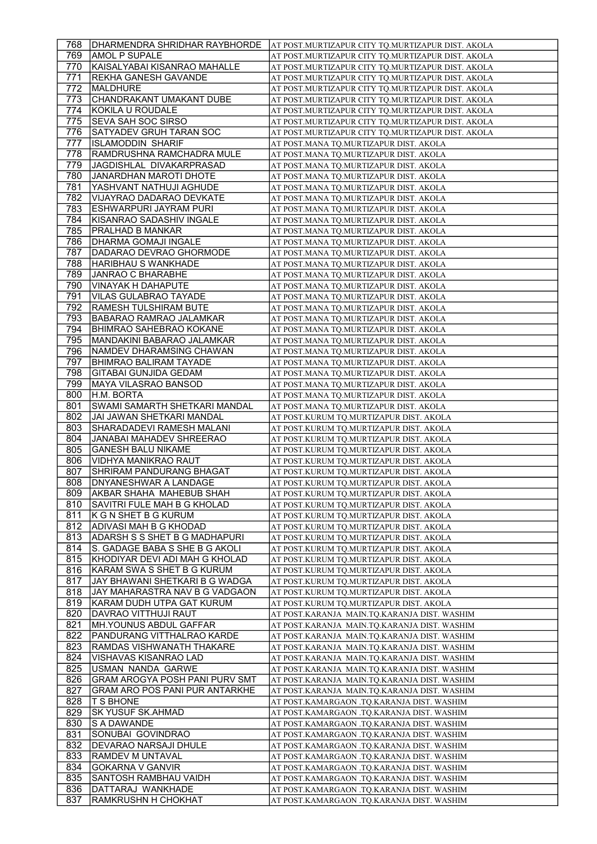| 768  | DHARMENDRA SHRIDHAR RAYBHORDE         | AT POST.MURTIZAPUR CITY TQ.MURTIZAPUR DIST. AKOLA |
|------|---------------------------------------|---------------------------------------------------|
| 769  | AMOL P SUPALE                         | AT POST.MURTIZAPUR CITY TQ.MURTIZAPUR DIST. AKOLA |
| 770  | KAISALYABAI KISANRAO MAHALLE          | AT POST.MURTIZAPUR CITY TQ.MURTIZAPUR DIST. AKOLA |
| 771  | <b>REKHA GANESH GAVANDE</b>           | AT POST.MURTIZAPUR CITY TQ.MURTIZAPUR DIST. AKOLA |
| 772  | MALDHURE                              | AT POST.MURTIZAPUR CITY TQ.MURTIZAPUR DIST. AKOLA |
| 773  | CHANDRAKANT UMAKANT DUBE              |                                                   |
|      |                                       | AT POST.MURTIZAPUR CITY TQ.MURTIZAPUR DIST. AKOLA |
| 774  | KOKILA U ROUDALE                      | AT POST.MURTIZAPUR CITY TQ.MURTIZAPUR DIST. AKOLA |
| 775  | SEVA SAH SOC SIRSO                    | AT POST.MURTIZAPUR CITY TQ.MURTIZAPUR DIST. AKOLA |
| 776  | SATYADEV GRUH TARAN SOC               | AT POST.MURTIZAPUR CITY TQ.MURTIZAPUR DIST. AKOLA |
| 777  | ISLAMODDIN SHARIF                     | AT POST.MANA TO.MURTIZAPUR DIST. AKOLA            |
| 778  | RAMDRUSHNA RAMCHADRA MULE             | AT POST.MANA TQ.MURTIZAPUR DIST. AKOLA            |
| 779  | JAGDISHLAL DIVAKARPRASAD              | AT POST.MANA TO.MURTIZAPUR DIST. AKOLA            |
| 780  | JANARDHAN MAROTI DHOTE                | AT POST.MANA TO.MURTIZAPUR DIST. AKOLA            |
| 781  | YASHVANT NATHUJI AGHUDE               | AT POST.MANA TQ.MURTIZAPUR DIST. AKOLA            |
| 782  | VIJAYRAO DADARAO DEVKATE              | AT POST.MANA TQ.MURTIZAPUR DIST. AKOLA            |
| 783  | ESHWARPURI JAYRAM PURI                | AT POST.MANA TQ.MURTIZAPUR DIST. AKOLA            |
| 784  | KISANRAO SADASHIV INGALE              | AT POST.MANA TQ.MURTIZAPUR DIST. AKOLA            |
| 785  | PRALHAD B MANKAR                      | AT POST.MANA TQ.MURTIZAPUR DIST. AKOLA            |
| 786  | <b>DHARMA GOMAJI INGALE</b>           | AT POST.MANA TQ.MURTIZAPUR DIST. AKOLA            |
| 787  | DADARAO DEVRAO GHORMODE               |                                                   |
|      |                                       | AT POST.MANA TQ.MURTIZAPUR DIST. AKOLA            |
| 788  | HARIBHAU S WANKHADE                   | AT POST.MANA TO.MURTIZAPUR DIST. AKOLA            |
| 789  | <b>JANRAO C BHARABHE</b>              | AT POST.MANA TQ.MURTIZAPUR DIST. AKOLA            |
| 790  | <b>VINAYAK H DAHAPUTE</b>             | AT POST.MANA TQ.MURTIZAPUR DIST. AKOLA            |
| 791  | VILAS GULABRAO TAYADE                 | AT POST.MANA TQ.MURTIZAPUR DIST. AKOLA            |
| 792  | <b>RAMESH TULSHIRAM BUTE</b>          | AT POST.MANA TQ.MURTIZAPUR DIST. AKOLA            |
| 793  | <b>BABARAO RAMRAO JALAMKAR</b>        | AT POST.MANA TQ.MURTIZAPUR DIST. AKOLA            |
| 794  | <b>BHIMRAO SAHEBRAO KOKANE</b>        | AT POST.MANA TO.MURTIZAPUR DIST. AKOLA            |
| 795  | MANDAKINI BABARAO JALAMKAR            | AT POST.MANA TQ.MURTIZAPUR DIST. AKOLA            |
| 796  | NAMDEV DHARAMSING CHAWAN              | AT POST.MANA TQ.MURTIZAPUR DIST. AKOLA            |
| 797  | <b>BHIMRAO BALIRAM TAYADE</b>         | AT POST.MANA TQ.MURTIZAPUR DIST. AKOLA            |
| 798  | <b>GITABAI GUNJIDA GEDAM</b>          | AT POST.MANA TQ.MURTIZAPUR DIST. AKOLA            |
| 799  | MAYA VILASRAO BANSOD                  | AT POST.MANA TQ.MURTIZAPUR DIST. AKOLA            |
| 800  | H.M. BORTA                            | AT POST.MANA TQ.MURTIZAPUR DIST. AKOLA            |
| 801  | SWAMI SAMARTH SHETKARI MANDAL         | AT POST.MANA TQ.MURTIZAPUR DIST. AKOLA            |
| 802  | JAI JAWAN SHETKARI MANDAL             | AT POST.KURUM TQ.MURTIZAPUR DIST. AKOLA           |
| 803. | SHARADADEVI RAMESH MALANI             |                                                   |
|      |                                       | AT POST.KURUM TQ.MURTIZAPUR DIST. AKOLA           |
| 804  | JANABAI MAHADEV SHREERAO              | AT POST.KURUM TQ.MURTIZAPUR DIST. AKOLA           |
| 805  | <b>GANESH BALU NIKAME</b>             | AT POST.KURUM TQ.MURTIZAPUR DIST. AKOLA           |
| 806  | VIDHYA MANIKRAO RAUT                  | AT POST.KURUM TQ.MURTIZAPUR DIST. AKOLA           |
| 807  | SHRIRAM PANDURANG BHAGAT              | AT POST.KURUM TQ.MURTIZAPUR DIST. AKOLA           |
| 808  | <b>DNYANESHWAR A LANDAGE</b>          | AT POST.KURUM TQ.MURTIZAPUR DIST. AKOLA           |
| 809. | <b>AKBAR SHAHA MAHEBUB SHAH</b>       | AT POST.KURUM TQ.MURTIZAPUR DIST. AKOLA           |
| 810  | SAVITRI FULE MAH B G KHOLAD           | AT POST.KURUM TO.MURTIZAPUR DIST. AKOLA           |
| 811  | K G N SHET B G KURUM                  | AT POST.KURUM TQ.MURTIZAPUR DIST. AKOLA           |
| 812  | ADIVASI MAH B G KHODAD                | AT POST.KURUM TQ.MURTIZAPUR DIST. AKOLA           |
| 813  | ADARSH S S SHET B G MADHAPURI         | AT POST.KURUM TQ.MURTIZAPUR DIST. AKOLA           |
| 814  | S. GADAGE BABA S SHE B G AKOLI        | AT POST.KURUM TQ.MURTIZAPUR DIST. AKOLA           |
| 815  | KHODIYAR DEVI ADI MAH G KHOLAD        | AT POST.KURUM TQ.MURTIZAPUR DIST. AKOLA           |
| 816  | KARAM SWA S SHET B G KURUM            | AT POST.KURUM TQ.MURTIZAPUR DIST. AKOLA           |
| 817  | JAY BHAWANI SHETKARI B G WADGA        | AT POST.KURUM TQ.MURTIZAPUR DIST. AKOLA           |
| 818  | JAY MAHARASTRA NAV B G VADGAON        | AT POST.KURUM TQ.MURTIZAPUR DIST. AKOLA           |
| 819  | KARAM DUDH UTPA GAT KURUM             | AT POST.KURUM TQ.MURTIZAPUR DIST. AKOLA           |
| 820  | DAVRAO VITTHUJI RAUT                  | AT POST.KARANJA MAIN.TQ.KARANJA DIST. WASHIM      |
| 821  | MH.YOUNUS ABDUL GAFFAR                |                                                   |
|      |                                       | AT POST.KARANJA  MAIN.TQ.KARANJA DIST. WASHIM     |
| 822  | PANDURANG VITTHALRAO KARDE            | AT POST.KARANJA  MAIN.TQ.KARANJA DIST. WASHIM     |
| 823  | RAMDAS VISHWANATH THAKARE             | AT POST.KARANJA MAIN.TQ.KARANJA DIST. WASHIM      |
| 824  | VISHAVAS KISANRAO LAD                 | AT POST.KARANJA  MAIN.TQ.KARANJA DIST. WASHIM     |
| 825  | USMAN NANDA GARWE                     | AT POST.KARANJA MAIN.TQ.KARANJA DIST. WASHIM      |
| 826  | <b>GRAM AROGYA POSH PANI PURV SMT</b> | AT POST.KARANJA MAIN.TQ.KARANJA DIST. WASHIM      |
| 827  | <b>GRAM ARO POS PANI PUR ANTARKHE</b> | AT POST.KARANJA  MAIN.TQ.KARANJA DIST. WASHIM     |
| 828  | <b>T S BHONE</b>                      | AT POST.KAMARGAON .TQ.KARANJA DIST. WASHIM        |
| 829  | SK YUSUF SK.AHMAD                     | AT POST.KAMARGAON .TQ.KARANJA DIST. WASHIM        |
| 830  | <b>S A DAWANDE</b>                    | AT POST.KAMARGAON .TQ.KARANJA DIST. WASHIM        |
| 831  | SONUBAI GOVINDRAO                     | AT POST.KAMARGAON .TQ.KARANJA DIST. WASHIM        |
| 832  |                                       |                                                   |
|      | DEVARAO NARSAJI DHULE                 | AT POST.KAMARGAON .TQ.KARANJA DIST. WASHIM        |
| 833  | RAMDEV M UNTAVAL                      | AT POST.KAMARGAON .TQ.KARANJA DIST. WASHIM        |
| 834  | <b>GOKARNA V GANVIR</b>               | AT POST.KAMARGAON .TQ.KARANJA DIST. WASHIM        |
| 835  | SANTOSH RAMBHAU VAIDH                 | AT POST.KAMARGAON .TQ.KARANJA DIST. WASHIM        |
| 836  | DATTARAJ WANKHADE                     | AT POST.KAMARGAON .TQ.KARANJA DIST. WASHIM        |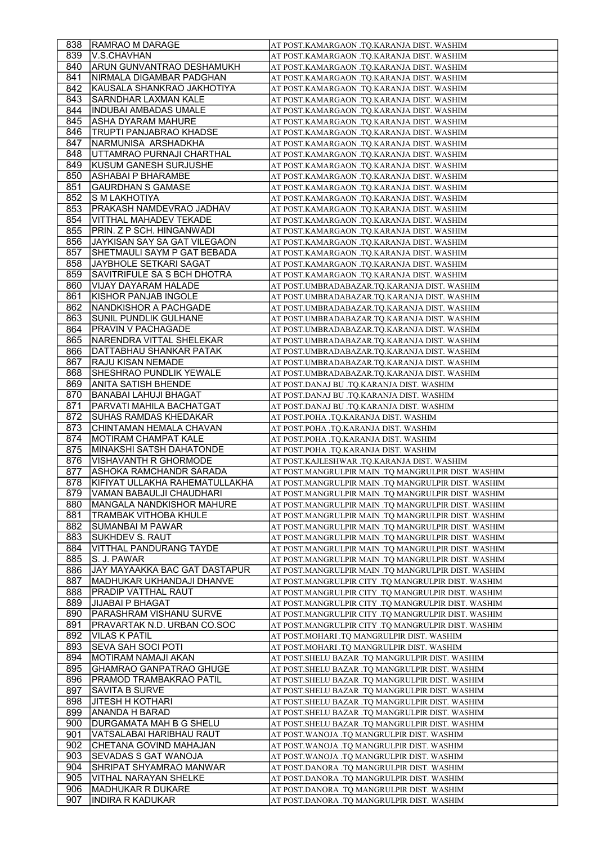| 838        | <b>RAMRAO M DARAGE</b>                       | AT POST.KAMARGAON .TQ.KARANJA DIST. WASHIM                                               |
|------------|----------------------------------------------|------------------------------------------------------------------------------------------|
| 839        | V.S.CHAVHAN                                  | AT POST.KAMARGAON .TQ.KARANJA DIST. WASHIM                                               |
| 840        | ARUN GUNVANTRAO DESHAMUKH                    | AT POST.KAMARGAON .TQ.KARANJA DIST. WASHIM                                               |
| 841        | NIRMALA DIGAMBAR PADGHAN                     | AT POST.KAMARGAON .TQ.KARANJA DIST. WASHIM                                               |
| 842.       | KAUSALA SHANKRAO JAKHOTIYA                   | AT POST.KAMARGAON .TQ.KARANJA DIST. WASHIM                                               |
| 843        | SARNDHAR LAXMAN KALE                         | AT POST.KAMARGAON .TO.KARANJA DIST. WASHIM                                               |
| 844        | INDUBAI AMBADAS UMALE                        | AT POST.KAMARGAON .TQ.KARANJA DIST. WASHIM                                               |
| 845        | ASHA DYARAM MAHURE                           | AT POST.KAMARGAON .TQ.KARANJA DIST. WASHIM                                               |
| 846        | TRUPTI PANJABRAO KHADSE                      | AT POST.KAMARGAON .TQ.KARANJA DIST. WASHIM                                               |
| 847        | NARMUNISA ARSHADKHA                          | AT POST.KAMARGAON .TQ.KARANJA DIST. WASHIM                                               |
| 848        | UTTAMRAO PURNAJI CHARTHAL                    | AT POST.KAMARGAON .TQ.KARANJA DIST. WASHIM                                               |
| 849        | <b>KUSUM GANESH SURJUSHE</b>                 | AT POST.KAMARGAON .TQ.KARANJA DIST. WASHIM                                               |
| 850        | ASHABAI P BHARAMBE                           | AT POST.KAMARGAON .TQ.KARANJA DIST. WASHIM                                               |
| 851        | <b>GAURDHAN S GAMASE</b>                     | AT POST.KAMARGAON .TQ.KARANJA DIST. WASHIM                                               |
| 852        | S M LAKHOTIYA                                | AT POST.KAMARGAON .TQ.KARANJA DIST. WASHIM                                               |
| 853        | PRAKASH NAMDEVRAO JADHAV                     | AT POST.KAMARGAON .TQ.KARANJA DIST. WASHIM                                               |
| 854        | <b>VITTHAL MAHADEV TEKADE</b>                | AT POST.KAMARGAON .TQ.KARANJA DIST. WASHIM                                               |
| 855        | PRIN. Z P SCH. HINGANWADI                    | AT POST.KAMARGAON .TQ.KARANJA DIST. WASHIM                                               |
| 856        | JAYKISAN SAY SA GAT VILEGAON                 | AT POST.KAMARGAON .TQ.KARANJA DIST. WASHIM                                               |
| 857        | SHETMAULI SAYM P GAT BEBADA                  | AT POST.KAMARGAON .TQ.KARANJA DIST. WASHIM                                               |
| 858        | JAYBHOLE SETKARI SAGAT                       | AT POST.KAMARGAON .TQ.KARANJA DIST. WASHIM                                               |
| 859        | SAVITRIFULE SA S BCH DHOTRA                  | AT POST.KAMARGAON .TQ.KARANJA DIST. WASHIM                                               |
| 860        | VIJAY DAYARAM HALADE                         | AT POST.UMBRADABAZAR.TQ.KARANJA DIST. WASHIM                                             |
| 861        | KISHOR PANJAB INGOLE                         | AT POST.UMBRADABAZAR.TQ.KARANJA DIST. WASHIM                                             |
| 862        | INANDKISHOR A PACHGADE                       | AT POST.UMBRADABAZAR.TO.KARANJA DIST. WASHIM                                             |
| 863        | SUNIL PUNDLIK GULHANE                        | AT POST.UMBRADABAZAR.TQ.KARANJA DIST. WASHIM                                             |
| 864        | PRAVIN V PACHAGADE                           | AT POST.UMBRADABAZAR.TQ.KARANJA DIST. WASHIM                                             |
| 865        | NARENDRA VITTAL SHELEKAR                     | AT POST.UMBRADABAZAR.TQ.KARANJA DIST. WASHIM                                             |
| 866        | DATTABHAU SHANKAR PATAK                      | AT POST.UMBRADABAZAR.TQ.KARANJA DIST. WASHIM                                             |
| 867        | RAJU KISAN NEMADE                            | AT POST.UMBRADABAZAR.TQ.KARANJA DIST. WASHIM                                             |
| 868        | <b>SHESHRAO PUNDLIK YEWALE</b>               | AT POST.UMBRADABAZAR.TQ.KARANJA DIST. WASHIM                                             |
| 869        | ANITA SATISH BHENDE                          | AT POST.DANAJ BU .TQ.KARANJA DIST. WASHIM                                                |
| 870        | BANABAI LAHUJI BHAGAT                        | AT POST.DANAJ BU .TQ.KARANJA DIST. WASHIM                                                |
| 871        | PARVATI MAHILA BACHATGAT                     | AT POST.DANAJ BU .TQ.KARANJA DIST. WASHIM                                                |
| 872        | SUHAS RAMDAS KHEDAKAR                        | AT POST.POHA .TQ.KARANJA DIST. WASHIM                                                    |
| 873        | CHINTAMAN HEMALA CHAVAN                      | AT POST.POHA .TQ.KARANJA DIST. WASHIM                                                    |
| 874        | MOTIRAM CHAMPAT KALE                         | AT POST.POHA .TQ.KARANJA DIST. WASHIM                                                    |
|            |                                              |                                                                                          |
| 875        | MINAKSHI SATSH DAHATONDE                     | AT POST.POHA .TQ.KARANJA DIST. WASHIM                                                    |
| 876        | VISHAVANTH R GHORMODE                        | AT POST.KAJLESHWAR .TQ.KARANJA DIST. WASHIM                                              |
| 877        | ASHOKA RAMCHANDR SARADA                      | AT POST.MANGRULPIR MAIN .TQ MANGRULPIR DIST. WASHIM                                      |
| 878        | KIFIYAT ULLAKHA RAHEMATULLAKHA               | AT POST.MANGRULPIR MAIN .TQ MANGRULPIR DIST. WASHIM                                      |
| 879        | VAMAN BABAULJI CHAUDHARI                     | AT POST.MANGRULPIR MAIN .TQ MANGRULPIR DIST. WASHIM                                      |
| 880        | <b>MANGALA NANDKISHOR MAHURE</b>             | AT POST.MANGRULPIR MAIN .TQ MANGRULPIR DIST. WASHIM                                      |
| 881        | TRAMBAK VITHOBA KHULE                        | AT POST.MANGRULPIR MAIN .TQ MANGRULPIR DIST. WASHIM                                      |
| 882        | <b>SUMANBAI M PAWAR</b>                      | AT POST.MANGRULPIR MAIN .TQ MANGRULPIR DIST. WASHIM                                      |
| 883        | SUKHDEV S. RAUT                              | AT POST.MANGRULPIR MAIN .TQ MANGRULPIR DIST. WASHIM                                      |
| 884        | <b>VITTHAL PANDURANG TAYDE</b>               | AT POST.MANGRULPIR MAIN .TQ MANGRULPIR DIST. WASHIM                                      |
| 885        | S. J. PAWAR                                  | AT POST.MANGRULPIR MAIN .TO MANGRULPIR DIST. WASHIM                                      |
| 886        | JAY MAYAAKKA BAC GAT DASTAPUR                | AT POST.MANGRULPIR MAIN .TQ MANGRULPIR DIST. WASHIM                                      |
| 887        | MADHUKAR UKHANDAJI DHANVE                    | AT POST.MANGRULPIR CITY .TQ MANGRULPIR DIST. WASHIM                                      |
| 888        | PRADIP VATTHAL RAUT                          | AT POST.MANGRULPIR CITY .TQ MANGRULPIR DIST. WASHIM                                      |
| 889        | <b>JIJABAI P BHAGAT</b>                      | AT POST.MANGRULPIR CITY .TQ MANGRULPIR DIST. WASHIM                                      |
| 890        | PARASHRAM VISHANU SURVE                      | AT POST.MANGRULPIR CITY .TQ MANGRULPIR DIST. WASHIM                                      |
| 891        | PRAVARTAK N.D. URBAN CO.SOC                  | AT POST.MANGRULPIR CITY .TQ MANGRULPIR DIST. WASHIM                                      |
| 892        | <b>VILAS K PATIL</b>                         | AT POST.MOHARI .TQ MANGRULPIR DIST. WASHIM                                               |
| 893        | SEVA SAH SOCI POTI                           | AT POST.MOHARI .TQ MANGRULPIR DIST. WASHIM                                               |
| 894        | MOTIRAM NAMAJI AKAN                          | AT POST.SHELU BAZAR .TQ MANGRULPIR DIST. WASHIM                                          |
| 895        | <b>GHAMRAO GANPATRAO GHUGE</b>               | AT POST. SHELU BAZAR .TQ MANGRULPIR DIST. WASHIM                                         |
| 896        | PRAMOD TRAMBAKRAO PATIL                      | AT POST.SHELU BAZAR .TQ MANGRULPIR DIST. WASHIM                                          |
| 897        | SAVITA B SURVE                               | AT POST.SHELU BAZAR .TQ MANGRULPIR DIST. WASHIM                                          |
| 898        | JITESH H KOTHARI                             | AT POST.SHELU BAZAR .TQ MANGRULPIR DIST. WASHIM                                          |
| 899        | ANANDA H BARAD                               | AT POST.SHELU BAZAR .TQ MANGRULPIR DIST. WASHIM                                          |
| 900        | DURGAMATA MAH B G SHELU                      | AT POST.SHELU BAZAR .TQ MANGRULPIR DIST. WASHIM                                          |
| 901        | VATSALABAI HARIBHAU RAUT                     | AT POST.WANOJA .TQ MANGRULPIR DIST. WASHIM                                               |
| 902        | CHETANA GOVIND MAHAJAN                       | AT POST.WANOJA .TQ MANGRULPIR DIST. WASHIM                                               |
| 903        | SEVADAS S GAT WANOJA                         | AT POST.WANOJA .TQ MANGRULPIR DIST. WASHIM                                               |
| 904        | SHRIPAT SHYAMRAO MANWAR                      | AT POST.DANORA .TQ MANGRULPIR DIST. WASHIM                                               |
| 905        | VITHAL NARAYAN SHELKE                        | AT POST.DANORA .TQ MANGRULPIR DIST. WASHIM                                               |
| 906<br>907 | MADHUKAR R DUKARE<br><b>INDIRA R KADUKAR</b> | AT POST.DANORA .TQ MANGRULPIR DIST. WASHIM<br>AT POST.DANORA .TQ MANGRULPIR DIST. WASHIM |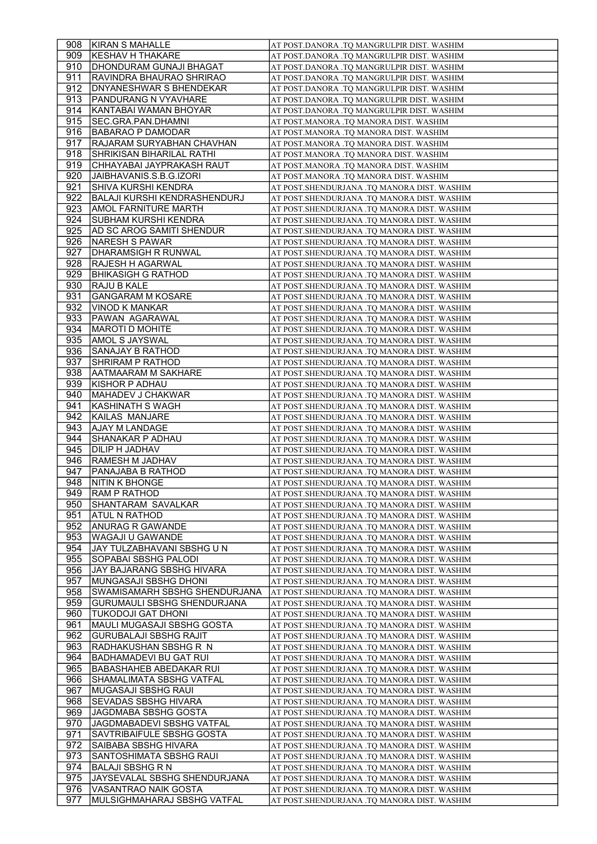| 908  | <b>KIRAN S MAHALLE</b>             | AT POST.DANORA .TQ MANGRULPIR DIST. WASHIM   |
|------|------------------------------------|----------------------------------------------|
| 909. | KESHAV H THAKARE                   | AT POST.DANORA .TQ MANGRULPIR DIST. WASHIM   |
| 910  | DHONDURAM GUNAJI BHAGAT            | AT POST.DANORA .TQ MANGRULPIR DIST. WASHIM   |
| 911  | RAVINDRA BHAURAO SHRIRAO           | AT POST.DANORA .TQ MANGRULPIR DIST. WASHIM   |
| 912  | DNYANESHWAR S BHENDEKAR            | AT POST.DANORA .TQ MANGRULPIR DIST. WASHIM   |
| 913  | PANDURANG N VYAVHARE               | AT POST.DANORA .TQ MANGRULPIR DIST. WASHIM   |
| 914  | KANTABAI WAMAN BHOYAR              | AT POST.DANORA .TQ MANGRULPIR DIST. WASHIM   |
| 915  | SEC.GRA.PAN.DHAMNI                 | AT POST.MANORA .TQ MANORA DIST. WASHIM       |
| 916  | BABARAO P DAMODAR                  | AT POST.MANORA .TQ MANORA DIST. WASHIM       |
| 917  | RAJARAM SURYABHAN CHAVHAN          | AT POST.MANORA .TQ MANORA DIST. WASHIM       |
| 918  | <b>SHRIKISAN BIHARILAL RATHI</b>   | AT POST.MANORA .TQ MANORA DIST. WASHIM       |
| 919  | CHHAYABAI JAYPRAKASH RAUT          | AT POST.MANORA .TO MANORA DIST. WASHIM       |
| 920  | JAIBHAVANIS.S.B.G.IZORI            | AT POST.MANORA .TQ MANORA DIST. WASHIM       |
| 921  | SHIVA KURSHI KENDRA                | AT POST.SHENDURJANA .TQ MANORA DIST. WASHIM  |
| 922  | BALAJI KURSHI KENDRASHENDURJ       | AT POST.SHENDURJANA .TQ MANORA DIST. WASHIM  |
| 923  | AMOL FARNITURE MARTH               | AT POST.SHENDURJANA .TQ MANORA DIST. WASHIM  |
| 924  | SUBHAM KURSHI KENDRA               |                                              |
| 925  | <b>AD SC AROG SAMITI SHENDUR</b>   | AT POST.SHENDURJANA .TQ MANORA DIST. WASHIM  |
|      |                                    | AT POST.SHENDURJANA .TQ MANORA DIST. WASHIM  |
| 926  | NARESH S PAWAR                     | AT POST.SHENDURJANA .TQ MANORA DIST. WASHIM  |
| 927  | DHARAMSIGH R RUNWAL                | AT POST.SHENDURJANA .TQ MANORA DIST. WASHIM  |
| 928  | <b>RAJESH H AGARWAL</b>            | AT POST.SHENDURJANA .TQ MANORA DIST. WASHIM  |
| 929  | BHIKASIGH G RATHOD                 | AT POST.SHENDURJANA .TQ MANORA DIST. WASHIM  |
| 930  | RAJU B KALE                        | AT POST.SHENDURJANA .TQ MANORA DIST. WASHIM  |
| 931  | <b>GANGARAM M KOSARE</b>           | AT POST. SHENDURJANA .TQ MANORA DIST. WASHIM |
| 932  | VINOD K MANKAR                     | AT POST.SHENDURJANA .TQ MANORA DIST. WASHIM  |
| 933  | PAWAN AGARAWAL                     | AT POST.SHENDURJANA .TQ MANORA DIST. WASHIM  |
| 934  | MAROTI D MOHITE                    | AT POST.SHENDURJANA .TQ MANORA DIST. WASHIM  |
| 935  | AMOL S JAYSWAL                     | AT POST.SHENDURJANA .TQ MANORA DIST. WASHIM  |
| 936  | SANAJAY B RATHOD                   | AT POST.SHENDURJANA .TQ MANORA DIST. WASHIM  |
| 937  | SHRIRAM P RATHOD                   | AT POST.SHENDURJANA .TQ MANORA DIST. WASHIM  |
| 938  | AATMAARAM M SAKHARE                | AT POST.SHENDURJANA .TQ MANORA DIST. WASHIM  |
| 939  | KISHOR P ADHAU                     | AT POST.SHENDURJANA .TQ MANORA DIST. WASHIM  |
| 940  | MAHADEV J CHAKWAR                  | AT POST. SHENDURJANA .TQ MANORA DIST. WASHIM |
| 941  | <b>KASHINATH S WAGH</b>            | AT POST. SHENDURJANA .TQ MANORA DIST. WASHIM |
| 942  | KAILAS MANJARE                     | AT POST. SHENDURJANA .TQ MANORA DIST. WASHIM |
| 943  | AJAY M LANDAGE                     | AT POST.SHENDURJANA .TQ MANORA DIST. WASHIM  |
| 944  | SHANAKAR P ADHAU                   | AT POST.SHENDURJANA .TQ MANORA DIST. WASHIM  |
| 945  | DILIP H JADHAV                     | AT POST.SHENDURJANA .TQ MANORA DIST. WASHIM  |
| 946  | RAMESH M JADHAV                    | AT POST.SHENDURJANA .TQ MANORA DIST. WASHIM  |
| 947  | PANAJABA B RATHOD                  | AT POST.SHENDURJANA .TQ MANORA DIST. WASHIM  |
| 948  | <b>NITIN K BHONGE</b>              | AT POST. SHENDURJANA .TQ MANORA DIST. WASHIM |
| 949  | <b>RAM P RATHOD</b>                | AT POST.SHENDURJANA .TQ MANORA DIST. WASHIM  |
| 950  | SHANTARAM SAVALKAR                 | AT POST.SHENDURJANA .TQ MANORA DIST. WASHIM  |
| 951  | <b>ATUL N RATHOD</b>               | AT POST.SHENDURJANA .TQ MANORA DIST. WASHIM  |
| 952  | ANURAG R GAWANDE                   | AT POST.SHENDURJANA .TQ MANORA DIST. WASHIM  |
| 953  | WAGAJI U GAWANDE                   | AT POST.SHENDURJANA .TQ MANORA DIST. WASHIM  |
| 954  | JAY TULZABHAVANI SBSHG U N         |                                              |
|      |                                    | AT POST.SHENDURJANA .TQ MANORA DIST. WASHIM  |
| 955  | SOPABAI SBSHG PALODI               | AT POST.SHENDURJANA .TQ MANORA DIST. WASHIM  |
| 956  | JAY BAJARANG SBSHG HIVARA          | AT POST.SHENDURJANA .TQ MANORA DIST. WASHIM  |
| 957  | MUNGASAJI SBSHG DHONI              | AT POST.SHENDURJANA .TQ MANORA DIST. WASHIM  |
| 958  | SWAMISAMARH SBSHG SHENDURJANA      | AT POST.SHENDURJANA .TQ MANORA DIST. WASHIM  |
| 959  | <b>GURUMAULI SBSHG SHENDURJANA</b> | AT POST.SHENDURJANA .TQ MANORA DIST. WASHIM  |
| 960  | <b>TUKODOJI GAT DHONI</b>          | AT POST.SHENDURJANA .TQ MANORA DIST. WASHIM  |
| 961  | MAULI MUGASAJI SBSHG GOSTA         | AT POST.SHENDURJANA .TQ MANORA DIST. WASHIM  |
| 962  | <b>GURUBALAJI SBSHG RAJIT</b>      | AT POST.SHENDURJANA .TQ MANORA DIST. WASHIM  |
| 963  | RADHAKUSHAN SBSHG R N              | AT POST.SHENDURJANA .TQ MANORA DIST. WASHIM  |
| 964  | <b>BADHAMADEVI BU GAT RUI</b>      | AT POST.SHENDURJANA .TQ MANORA DIST. WASHIM  |
| 965  | <b>BABASHAHEB ABEDAKAR RUI</b>     | AT POST.SHENDURJANA .TQ MANORA DIST. WASHIM  |
| 966  | SHAMALIMATA SBSHG VATFAL           | AT POST.SHENDURJANA .TQ MANORA DIST. WASHIM  |
| 967  | MUGASAJI SBSHG RAUI                | AT POST.SHENDURJANA .TQ MANORA DIST. WASHIM  |
| 968  | <b>SEVADAS SBSHG HIVARA</b>        | AT POST.SHENDURJANA .TQ MANORA DIST. WASHIM  |
| 969  | JAGDMABA SBSHG GOSTA               | AT POST.SHENDURJANA .TQ MANORA DIST. WASHIM  |
| 970  | JAGDMABADEVI SBSHG VATFAL          | AT POST.SHENDURJANA .TQ MANORA DIST. WASHIM  |
| 971  | SAVTRIBAIFULE SBSHG GOSTA          | AT POST.SHENDURJANA .TQ MANORA DIST. WASHIM  |
| 972  | SAIBABA SBSHG HIVARA               | AT POST.SHENDURJANA .TQ MANORA DIST. WASHIM  |
| 973  | SANTOSHIMATA SBSHG RAUI            | AT POST.SHENDURJANA .TQ MANORA DIST. WASHIM  |
| 974  | <b>BALAJI SBSHG R N</b>            | AT POST.SHENDURJANA .TQ MANORA DIST. WASHIM  |
| 975  | JAYSEVALAL SBSHG SHENDURJANA       | AT POST.SHENDURJANA .TQ MANORA DIST. WASHIM  |
|      |                                    |                                              |
| 976  | VASANTRAO NAIK GOSTA               | AT POST.SHENDURJANA .TQ MANORA DIST. WASHIM  |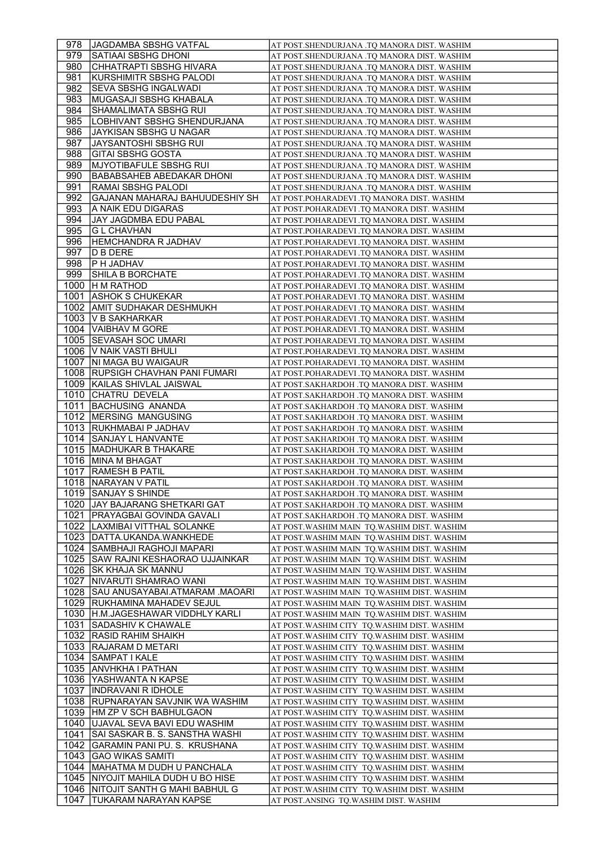| 978 | JJAGDAMBA SBSHG VATFAL                | AT POST.SHENDURJANA .TQ MANORA DIST. WASHIM  |
|-----|---------------------------------------|----------------------------------------------|
| 979 | SATIAAI SBSHG DHONI                   | AT POST.SHENDURJANA .TQ MANORA DIST. WASHIM  |
| 980 | CHHATRAPTI SBSHG HIVARA               | AT POST.SHENDURJANA .TQ MANORA DIST. WASHIM  |
| 981 | KURSHIMITR SBSHG PALODI               | AT POST.SHENDURJANA .TQ MANORA DIST. WASHIM  |
| 982 | SEVA SBSHG INGALWADI                  | AT POST.SHENDURJANA .TQ MANORA DIST. WASHIM  |
| 983 | İMUGASAJI SBSHG KHABALA               | AT POST.SHENDURJANA .TQ MANORA DIST. WASHIM  |
|     |                                       |                                              |
| 984 | SHAMALIMATA SBSHG RUI                 | AT POST.SHENDURJANA .TQ MANORA DIST. WASHIM  |
| 985 | LOBHIVANT SBSHG SHENDURJANA           | AT POST.SHENDURJANA .TQ MANORA DIST. WASHIM  |
| 986 | JAYKISAN SBSHG U NAGAR                | AT POST.SHENDURJANA .TQ MANORA DIST. WASHIM  |
| 987 | JAYSANTOSHI SBSHG RUI                 | AT POST.SHENDURJANA .TQ MANORA DIST. WASHIM  |
| 988 | <b>GITAI SBSHG GOSTA</b>              | AT POST.SHENDURJANA .TO MANORA DIST. WASHIM  |
| 989 | MJYOTIBAFULE SBSHG RUI                | AT POST.SHENDURJANA .TQ MANORA DIST. WASHIM  |
| 990 | BABABSAHEB ABEDAKAR DHONI             | AT POST.SHENDURJANA .TO MANORA DIST. WASHIM  |
| 991 | RAMAI SBSHG PALODI                    | AT POST.SHENDURJANA .TQ MANORA DIST. WASHIM  |
| 992 | GAJANAN MAHARAJ BAHUUDESHIY SH        | AT POST.POHARADEVI .TQ MANORA DIST. WASHIM   |
| 993 | A NAIK EDU DIGARAS                    | AT POST.POHARADEVI .TQ MANORA DIST. WASHIM   |
| 994 | JAY JAGDMBA EDU PABAL                 |                                              |
|     |                                       | AT POST.POHARADEVI .TQ MANORA DIST. WASHIM   |
| 995 | <b>GL CHAVHAN</b>                     | AT POST.POHARADEVI .TQ MANORA DIST. WASHIM   |
| 996 | <b>HEMCHANDRA R JADHAV</b>            | AT POST.POHARADEVI .TQ MANORA DIST. WASHIM   |
| 997 | D B DERE                              | AT POST.POHARADEVI .TQ MANORA DIST. WASHIM   |
| 998 | <b>P H JADHAV</b>                     | AT POST.POHARADEVI .TQ MANORA DIST. WASHIM   |
| 999 | SHILA B BORCHATE                      | AT POST.POHARADEVI .TQ MANORA DIST. WASHIM   |
|     | 1000 H M RATHOD                       | AT POST.POHARADEVI .TQ MANORA DIST. WASHIM   |
|     | 1001 ASHOK S CHUKEKAR                 | AT POST.POHARADEVI .TQ MANORA DIST. WASHIM   |
|     | 1002   AMIT SUDHAKAR DESHMUKH         | AT POST.POHARADEVI .TO MANORA DIST. WASHIM   |
|     | 1003   V B SAKHARKAR                  | AT POST.POHARADEVI .TQ MANORA DIST. WASHIM   |
|     | 1004   VAIBHAV M GORE                 | AT POST.POHARADEVI .TQ MANORA DIST. WASHIM   |
|     | 1005   SEVASAH SOC UMARI              |                                              |
|     | 1006 V NAIK VASTI BHULI               | AT POST.POHARADEVI .TQ MANORA DIST. WASHIM   |
|     |                                       | AT POST.POHARADEVI .TQ MANORA DIST. WASHIM   |
|     | 1007   NI MAGA BU WAIGAUR             | AT POST.POHARADEVI .TQ MANORA DIST. WASHIM   |
|     | 1008 RUPSIGH CHAVHAN PANI FUMARI      | AT POST.POHARADEVI .TQ MANORA DIST. WASHIM   |
|     | 1009 KAILAS SHIVLAL JAISWAL           | AT POST.SAKHARDOH .TQ MANORA DIST. WASHIM    |
|     | 1010 CHATRU DEVELA                    | AT POST.SAKHARDOH .TQ MANORA DIST. WASHIM    |
|     | 1011 BACHUSING ANANDA                 | AT POST.SAKHARDOH .TQ MANORA DIST. WASHIM    |
|     | 1012   MERSING MANGUSING              | AT POST.SAKHARDOH .TQ MANORA DIST. WASHIM    |
|     | 1013 RUKHMABAI P JADHAV               | AT POST.SAKHARDOH .TQ MANORA DIST. WASHIM    |
|     | 1014 SANJAY L HANVANTE                | AT POST.SAKHARDOH .TQ MANORA DIST. WASHIM    |
|     | 1015   MADHUKAR B THAKARE             | AT POST.SAKHARDOH .TQ MANORA DIST. WASHIM    |
|     | 1016   MINA M BHAGAT                  | AT POST.SAKHARDOH .TQ MANORA DIST. WASHIM    |
|     | 1017   RAMESH B PATIL                 | AT POST.SAKHARDOH .TQ MANORA DIST. WASHIM    |
|     |                                       |                                              |
|     | 1018   NARAYAN V PATIL                | AT POST.SAKHARDOH .TQ MANORA DIST. WASHIM    |
|     | 1019 SANJAY S SHINDE                  | AT POST.SAKHARDOH .TQ MANORA DIST. WASHIM    |
|     | 1020 JAY BAJARANG SHETKARI GAT        | AT POST.SAKHARDOH .TQ MANORA DIST. WASHIM    |
|     | 1021   PRAYAGBAI GOVINDA GAVALI       | AT POST.SAKHARDOH .TQ MANORA DIST. WASHIM    |
|     | 1022   LAXMIBAI VITTHAL SOLANKE       | AT POST.WASHIM MAIN  TQ.WASHIM DIST. WASHIM  |
|     | 1023   DATTA.UKANDA.WANKHEDE          | AT POST.WASHIM MAIN TQ.WASHIM DIST. WASHIM   |
|     | 1024 SAMBHAJI RAGHOJI MAPARI          | AT POST. WASHIM MAIN TQ. WASHIM DIST. WASHIM |
|     | 1025   SAW RAJNI KESHAORAO UJJAINKAR  | AT POST.WASHIM MAIN  TQ.WASHIM DIST. WASHIM  |
|     | 1026 SK KHAJA SK MANNU                | AT POST.WASHIM MAIN TQ.WASHIM DIST. WASHIM   |
|     | 1027   NIVARUTI SHAMRAO WANI          | AT POST.WASHIM MAIN TQ.WASHIM DIST. WASHIM   |
|     | 1028 SAU ANUSAYABAI.ATMARAM .MAOARI   | AT POST.WASHIM MAIN TO.WASHIM DIST. WASHIM   |
|     | 1029 RUKHAMINA MAHADEV SEJUL          | AT POST. WASHIM MAIN TQ. WASHIM DIST. WASHIM |
|     | 1030 H.M.JAGESHAWAR VIDDHLY KARLI     | AT POST. WASHIM MAIN TQ. WASHIM DIST. WASHIM |
|     | 1031   SADASHIV K CHAWALE             |                                              |
|     |                                       | AT POST.WASHIM CITY  TQ.WASHIM DIST. WASHIM  |
|     | 1032 RASID RAHIM SHAIKH               | AT POST.WASHIM CITY TQ.WASHIM DIST. WASHIM   |
|     | 1033   RAJARAM D METARI               | AT POST. WASHIM CITY TQ. WASHIM DIST. WASHIM |
|     | 1034   SAMPAT I KALE                  | AT POST. WASHIM CITY TQ. WASHIM DIST. WASHIM |
|     | 1035   ANVHKHA I PATHAN               | AT POST. WASHIM CITY TQ. WASHIM DIST. WASHIM |
|     | 1036   YASHWANTA N KAPSE              | AT POST.WASHIM CITY TQ.WASHIM DIST. WASHIM   |
|     | 1037   INDRAVANI R IDHOLE             | AT POST.WASHIM CITY  TQ.WASHIM DIST. WASHIM  |
|     | 1038   RUPNARAYAN SAVJNIK WA WASHIM   | AT POST. WASHIM CITY TQ. WASHIM DIST. WASHIM |
|     | 1039   HM ZP V SCH BABHULGAON         | AT POST. WASHIM CITY TQ. WASHIM DIST. WASHIM |
|     | 1040   UJAVAL SEVA BAVI EDU WASHIM    | AT POST. WASHIM CITY TQ. WASHIM DIST. WASHIM |
|     | 1041   SAI SASKAR B. S. SANSTHA WASHI | AT POST. WASHIM CITY TQ. WASHIM DIST. WASHIM |
|     | 1042 GARAMIN PANI PU. S. KRUSHANA     | AT POST.WASHIM CITY TQ.WASHIM DIST. WASHIM   |
|     |                                       |                                              |
|     | 1043 GAO WIKAS SAMITI                 | AT POST.WASHIM CITY TQ.WASHIM DIST. WASHIM   |
|     | 1044   MAHATMA M DUDH U PANCHALA      | AT POST. WASHIM CITY TQ. WASHIM DIST. WASHIM |
|     | 1045   NIYOJIT MAHILA DUDH U BO HISE  | AT POST. WASHIM CITY TQ. WASHIM DIST. WASHIM |
|     | 1046   NITOJIT SANTH G MAHI BABHUL G  | AT POST. WASHIM CITY TQ. WASHIM DIST. WASHIM |
|     | 1047 TUKARAM NARAYAN KAPSE            | AT POST.ANSING TQ.WASHIM DIST. WASHIM        |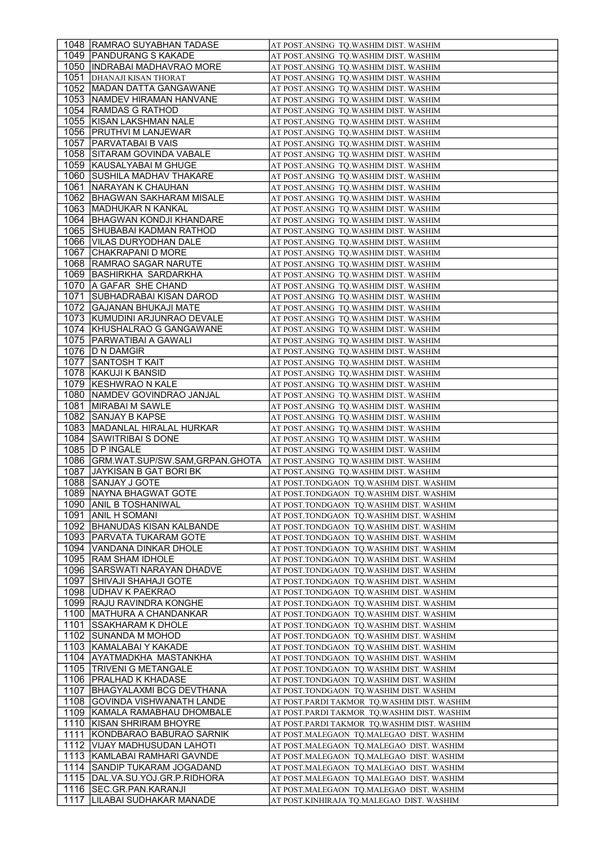| 1048   RAMRAO SUYABHAN TADASE                               | AT POST.ANSING  TQ.WASHIM DIST. WASHIM                                                |
|-------------------------------------------------------------|---------------------------------------------------------------------------------------|
| 1049   PANDURANG S KAKADE                                   | AT POST.ANSING TQ.WASHIM DIST. WASHIM                                                 |
| 1050   INDRABAI MADHAVRAO MORE                              | AT POST.ANSING TQ.WASHIM DIST. WASHIM                                                 |
| 1051   DHANAJI KISAN THORAT                                 | AT POST.ANSING TQ.WASHIM DIST. WASHIM                                                 |
| 1052   MADAN DATTA GANGAWANE                                | AT POST.ANSING TQ.WASHIM DIST. WASHIM                                                 |
| 1053 NAMDEV HIRAMAN HANVANE                                 | AT POST.ANSING TQ.WASHIM DIST. WASHIM                                                 |
| 1054 RAMDAS G RATHOD                                        | AT POST.ANSING TQ.WASHIM DIST. WASHIM                                                 |
|                                                             |                                                                                       |
| 1055   KISAN LAKSHMAN NALE                                  | AT POST.ANSING TQ.WASHIM DIST. WASHIM                                                 |
| 1056   PRUTHVI M LANJEWAR                                   | AT POST.ANSING TQ.WASHIM DIST. WASHIM                                                 |
| 1057   PARVATABAI B VAIS                                    | AT POST.ANSING TQ.WASHIM DIST. WASHIM                                                 |
| 1058   SITARAM GOVINDA VABALE                               | AT POST.ANSING TQ.WASHIM DIST. WASHIM                                                 |
| 1059 KAUSALYABAI M GHUGE                                    | AT POST.ANSING TQ.WASHIM DIST. WASHIM                                                 |
| 1060 SUSHILA MADHAV THAKARE                                 | AT POST.ANSING TQ.WASHIM DIST. WASHIM                                                 |
| 1061   NARAYAN K CHAUHAN                                    | AT POST.ANSING TQ.WASHIM DIST. WASHIM                                                 |
| 1062  IBHAGWAN SAKHARAM MISALE                              | AT POST.ANSING TQ.WASHIM DIST. WASHIM                                                 |
| 1063   MADHUKAR N KANKAL                                    | AT POST.ANSING  TQ.WASHIM DIST. WASHIM                                                |
| 1064   BHAGWAN KONDJI KHANDARE                              | AT POST.ANSING TQ.WASHIM DIST. WASHIM                                                 |
| 1065 SHUBABAI KADMAN RATHOD                                 | AT POST.ANSING  TQ.WASHIM DIST. WASHIM                                                |
| 1066   VILAS DURYODHAN DALE                                 | AT POST.ANSING TQ.WASHIM DIST. WASHIM                                                 |
| 1067 CHAKRAPANI D MORE                                      | AT POST.ANSING TQ.WASHIM DIST. WASHIM                                                 |
| 1068   RAMRAO SAGAR NARUTE                                  |                                                                                       |
| 1069 BASHIRKHA SARDARKHA                                    | AT POST.ANSING TQ.WASHIM DIST. WASHIM                                                 |
|                                                             | AT POST.ANSING TQ.WASHIM DIST. WASHIM                                                 |
| 1070   A GAFAR SHE CHAND                                    | AT POST.ANSING TQ.WASHIM DIST. WASHIM                                                 |
| 1071   SUBHADRABAI KISAN DAROD                              | AT POST.ANSING TO.WASHIM DIST. WASHIM                                                 |
| 1072 GAJANAN BHUKAJI MATE                                   | AT POST.ANSING TQ.WASHIM DIST. WASHIM                                                 |
| 1073 KUMUDINI ARJUNRAO DEVALE                               | AT POST.ANSING TQ.WASHIM DIST. WASHIM                                                 |
| 1074   KHUSHALRAO G GANGAWANE                               | AT POST.ANSING  TQ.WASHIM DIST. WASHIM                                                |
| 1075   PARWATIBAI A GAWALI                                  | AT POST.ANSING TQ.WASHIM DIST. WASHIM                                                 |
| 1076   D N DAMGIR                                           | AT POST.ANSING TQ.WASHIM DIST. WASHIM                                                 |
| 1077 SANTOSH T KAIT                                         | AT POST.ANSING TQ.WASHIM DIST. WASHIM                                                 |
| 1078 KAKUJI K BANSID                                        | AT POST.ANSING TQ.WASHIM DIST. WASHIM                                                 |
| 1079   KESHWRAO N KALE                                      | AT POST.ANSING TQ.WASHIM DIST. WASHIM                                                 |
| 1080   NAMDEV GOVINDRAO JANJAL                              | AT POST.ANSING  TQ.WASHIM DIST. WASHIM                                                |
| 1081   MIRABAI M SAWLE                                      | AT POST.ANSING TQ.WASHIM DIST. WASHIM                                                 |
| 1082 SANJAY B KAPSE                                         | AT POST.ANSING TQ.WASHIM DIST. WASHIM                                                 |
| 1083 MADANLAL HIRALAL HURKAR                                |                                                                                       |
|                                                             |                                                                                       |
|                                                             | AT POST.ANSING TQ.WASHIM DIST. WASHIM                                                 |
| 1084   SAWITRIBAI S DONE                                    | AT POST.ANSING TQ.WASHIM DIST. WASHIM                                                 |
| 1085   D P INGALE                                           | AT POST.ANSING TQ.WASHIM DIST. WASHIM                                                 |
| 1086   GRM.WAT.SUP/SW.SAM, GRPAN.GHOTA                      | AT POST.ANSING TQ.WASHIM DIST. WASHIM                                                 |
| 1087 JAYKISAN B GAT BORI BK                                 | AT POST.ANSING TQ.WASHIM DIST. WASHIM                                                 |
| 1088   SANJAY J GOTE                                        | AT POST.TONDGAON TQ.WASHIM DIST. WASHIM                                               |
| 1089 NAYNA BHAGWAT GOTE                                     | AT POST.TONDGAON TQ.WASHIM DIST. WASHIM                                               |
| 1090 ANIL B TOSHANIWAL                                      | AT POST.TONDGAON  TQ.WASHIM DIST. WASHIM                                              |
| 1091   ANIL H SOMANI                                        | AT POST.TONDGAON  TQ.WASHIM DIST. WASHIM                                              |
| 1092   BHANUDAS KISAN KALBANDE                              | AT POST.TONDGAON TQ.WASHIM DIST. WASHIM                                               |
| 1093   PARVATA TUKARAM GOTE                                 | AT POST.TONDGAON  TQ.WASHIM DIST. WASHIM                                              |
|                                                             |                                                                                       |
| 1094   VANDANA DINKAR DHOLE                                 | AT POST.TONDGAON TQ.WASHIM DIST. WASHIM                                               |
| 1095   RAM SHAM IDHOLE                                      | AT POST.TONDGAON TQ.WASHIM DIST. WASHIM                                               |
| 1096   SARSWATI NARAYAN DHADVE                              | AT POST.TONDGAON  TO.WASHIM DIST. WASHIM                                              |
| 1097 SHIVAJI SHAHAJI GOTE                                   | AT POST.TONDGAON TQ.WASHIM DIST. WASHIM                                               |
| 1098 UDHAV K PAEKRAO                                        | AT POST.TONDGAON TQ.WASHIM DIST. WASHIM                                               |
| 1099 RAJU RAVINDRA KONGHE                                   | AT POST.TONDGAON TQ.WASHIM DIST. WASHIM                                               |
| 1100   MATHURA A CHANDANKAR                                 | AT POST.TONDGAON TQ.WASHIM DIST. WASHIM                                               |
| 1101 ISSAKHARAM K DHOLE                                     | AT POST.TONDGAON TQ.WASHIM DIST. WASHIM                                               |
| 1102   SUNANDA M MOHOD                                      | AT POST.TONDGAON TQ.WASHIM DIST. WASHIM                                               |
| 1103   KAMALABAI Y KAKADE                                   | AT POST.TONDGAON TQ.WASHIM DIST. WASHIM                                               |
| 1104   AYATMADKHA MASTANKHA                                 | AT POST.TONDGAON  TQ.WASHIM DIST. WASHIM                                              |
| 1105   TRIVENI G METANGALE                                  | AT POST.TONDGAON TQ.WASHIM DIST. WASHIM                                               |
| 1106   PRALHAD K KHADASE                                    | AT POST.TONDGAON TQ.WASHIM DIST. WASHIM                                               |
| 1107 BHAGYALAXMI BCG DEVTHANA                               | AT POST.TONDGAON TQ.WASHIM DIST. WASHIM                                               |
| 1108 GOVINDA VISHWANATH LANDE                               | AT POST.PARDI TAKMOR TQ.WASHIM DIST. WASHIM                                           |
| 1109 KAMALA RAMABHAU DHOMBALE                               | AT POST.PARDI TAKMOR TQ.WASHIM DIST. WASHIM                                           |
| 1110 KISAN SHRIRAM BHOYRE                                   | AT POST.PARDI TAKMOR  TQ.WASHIM DIST. WASHIM                                          |
| 1111 KONDBARAO BABURAO SARNIK                               | AT POST.MALEGAON TQ.MALEGAO DIST. WASHIM                                              |
|                                                             |                                                                                       |
| 1112   VIJAY MADHUSUDAN LAHOTI                              | AT POST.MALEGAON TQ.MALEGAO DIST. WASHIM                                              |
| 1113 KAMLABAI RAMHARI GAVNDE                                | AT POST.MALEGAON  TQ.MALEGAO  DIST. WASHIM                                            |
| 1114 SANDIP TUKARAM JOGADAND                                | AT POST.MALEGAON TQ.MALEGAO DIST. WASHIM                                              |
| 1115   DAL. VA. SU. YOJ. GR. P. RIDHORA                     | AT POST.MALEGAON TQ.MALEGAO DIST. WASHIM                                              |
| 1116   SEC.GR.PAN.KARANJI<br>1117   LILABAI SUDHAKAR MANADE | AT POST.MALEGAON TQ.MALEGAO DIST. WASHIM<br>AT POST.KINHIRAJA TQ.MALEGAO DIST. WASHIM |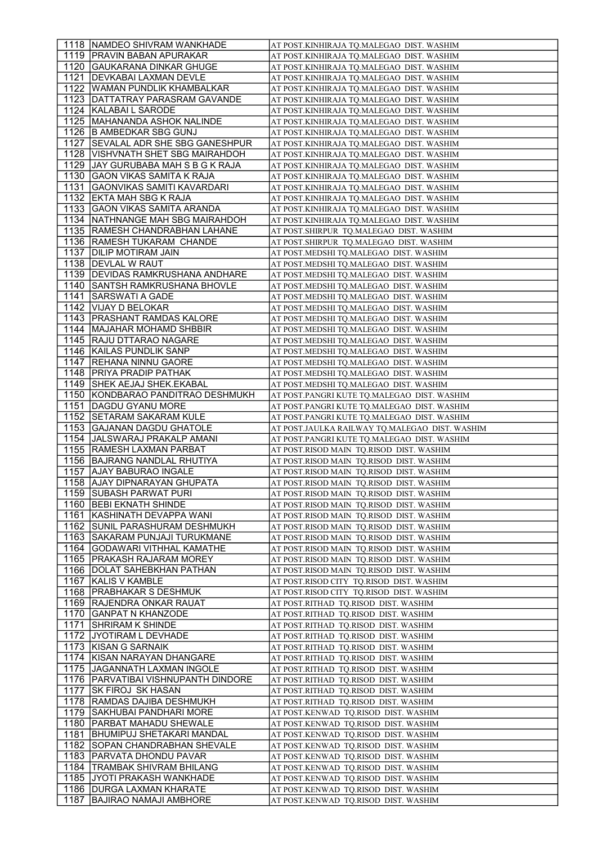|      | 1118   NAMDEO SHIVRAM WANKHADE                        | AT POST.KINHIRAJA TQ.MALEGAO  DIST. WASHIM                                   |
|------|-------------------------------------------------------|------------------------------------------------------------------------------|
|      | 1119   PRAVIN BABAN APURAKAR                          | AT POST.KINHIRAJA TQ.MALEGAO DIST. WASHIM                                    |
|      | 1120 GAUKARANA DINKAR GHUGE                           | AT POST.KINHIRAJA TQ.MALEGAO DIST. WASHIM                                    |
|      | 1121   DEVKABAI LAXMAN DEVLE                          | AT POST.KINHIRAJA TQ.MALEGAO DIST. WASHIM                                    |
|      | 1122 WAMAN PUNDLIK KHAMBALKAR                         | AT POST.KINHIRAJA TQ.MALEGAO  DIST. WASHIM                                   |
|      | 1123   DATTATRAY PARASRAM GAVANDE                     | AT POST.KINHIRAJA TO.MALEGAO DIST. WASHIM                                    |
|      | 1124 KALABAI L SARODE                                 | AT POST.KINHIRAJA TQ.MALEGAO DIST. WASHIM                                    |
|      | 1125   MAHANANDA ASHOK NALINDE                        | AT POST.KINHIRAJA TQ.MALEGAO DIST. WASHIM                                    |
|      | 1126 B AMBEDKAR SBG GUNJ                              | AT POST.KINHIRAJA TQ.MALEGAO DIST. WASHIM                                    |
|      | 1127 SEVALAL ADR SHE SBG GANESHPUR                    |                                                                              |
|      | 1128   VISHVNATH SHET SBG MAIRAHDOH                   | AT POST.KINHIRAJA TQ.MALEGAO DIST. WASHIM                                    |
|      |                                                       | AT POST.KINHIRAJA TQ.MALEGAO DIST. WASHIM                                    |
|      | 1129 JAY GURUBABA MAH S B G K RAJA                    | AT POST.KINHIRAJA TQ.MALEGAO  DIST. WASHIM                                   |
|      | 1130 GAON VIKAS SAMITA K RAJA                         | AT POST.KINHIRAJA TQ.MALEGAO DIST. WASHIM                                    |
| 1131 | GAONVIKAS SAMITI KAVARDARI                            | AT POST.KINHIRAJA TQ.MALEGAO DIST. WASHIM                                    |
|      | 1132 EKTA MAH SBG K RAJA                              | AT POST.KINHIRAJA TQ.MALEGAO DIST. WASHIM                                    |
|      | 1133 GAON VIKAS SAMITA ARANDA                         | AT POST.KINHIRAJA TQ.MALEGAO  DIST. WASHIM                                   |
|      | 1134   NATHNANGE MAH SBG MAIRAHDOH                    | AT POST.KINHIRAJA TQ.MALEGAO DIST. WASHIM                                    |
|      | 1135 RAMESH CHANDRABHAN LAHANE                        | AT POST.SHIRPUR  TQ.MALEGAO  DIST. WASHIM                                    |
|      | 1136   RAMESH TUKARAM CHANDE                          | AT POST.SHIRPUR TQ.MALEGAO DIST. WASHIM                                      |
|      | 1137   DILIP MOTIRAM JAIN                             | AT POST.MEDSHI TQ.MALEGAO DIST. WASHIM                                       |
|      | 1138   DEVLAL W RAUT                                  | AT POST.MEDSHI TQ.MALEGAO DIST. WASHIM                                       |
|      | 1139 DEVIDAS RAMKRUSHANA ANDHARE                      | AT POST.MEDSHI TQ.MALEGAO DIST. WASHIM                                       |
|      | 1140   SANTSH RAMKRUSHANA BHOVLE                      | AT POST.MEDSHI TO.MALEGAO  DIST. WASHIM                                      |
|      | 1141   SARSWATI A GADE                                | AT POST.MEDSHI TQ.MALEGAO DIST. WASHIM                                       |
|      | 1142   VIJAY D BELOKAR                                | AT POST.MEDSHI TQ.MALEGAO DIST. WASHIM                                       |
|      | 1143 PRASHANT RAMDAS KALORE                           | AT POST.MEDSHI TQ.MALEGAO  DIST. WASHIM                                      |
|      | 1144   MAJAHAR MOHAMD SHBBIR                          | AT POST.MEDSHI TQ.MALEGAO  DIST. WASHIM                                      |
|      | 1145 RAJU DTTARAO NAGARE                              | AT POST.MEDSHI TQ.MALEGAO DIST. WASHIM                                       |
|      | 1146 KAILAS PUNDLIK SANP                              | AT POST.MEDSHI TQ.MALEGAO  DIST. WASHIM                                      |
|      | 1147 REHANA NINNU GAORE                               | AT POST.MEDSHI TQ.MALEGAO DIST. WASHIM                                       |
|      | 1148   PRIYA PRADIP PATHAK                            | AT POST.MEDSHI TQ.MALEGAO DIST. WASHIM                                       |
|      | 1149 SHEK AEJAJ SHEK.EKABAL                           | AT POST.MEDSHI TQ.MALEGAO  DIST. WASHIM                                      |
|      | 1150 KONDBARAO PANDITRAO DESHMUKH                     | AT POST.PANGRI KUTE TQ.MALEGAO  DIST. WASHIM                                 |
|      | 1151   DAGDU GYANU MORE                               | AT POST.PANGRI KUTE TQ.MALEGAO  DIST. WASHIM                                 |
|      | 1152 SETARAM SAKARAM KULE                             | AT POST.PANGRI KUTE TQ.MALEGAO  DIST. WASHIM                                 |
|      |                                                       |                                                                              |
|      | 1153 GAJANAN DAGDU GHATOLE                            | AT POST.JAULKA RAILWAY TQ.MALEGAO DIST. WASHIM                               |
|      | 1154 JALSWARAJ PRAKALP AMANI                          | AT POST.PANGRI KUTE TQ.MALEGAO  DIST. WASHIM                                 |
|      | 1155   RAMESH LAXMAN PARBAT                           | AT POST.RISOD MAIN TQ.RISOD DIST. WASHIM                                     |
|      | 1156 BAJRANG NANDLAL RHUTIYA                          | AT POST.RISOD MAIN TQ.RISOD DIST. WASHIM                                     |
|      | 1157 AJAY BABURAO INGALE                              | AT POST.RISOD MAIN TQ.RISOD DIST. WASHIM                                     |
|      | 1158 AJAY DIPNARAYAN GHUPATA                          | AT POST.RISOD MAIN TQ.RISOD DIST. WASHIM                                     |
|      | 1159 SUBASH PARWAT PURI                               | AT POST.RISOD MAIN TQ.RISOD DIST. WASHIM                                     |
|      | 1160   BEBI EKNATH SHINDE                             | AT POST.RISOD MAIN TO.RISOD DIST. WASHIM                                     |
|      | 1161 KASHINATH DEVAPPA WANI                           | AT POST.RISOD MAIN TQ.RISOD DIST. WASHIM                                     |
|      | 1162   SUNIL PARASHURAM DESHMUKH                      | AT POST.RISOD MAIN TQ.RISOD DIST. WASHIM                                     |
|      | 1163 SAKARAM PUNJAJI TURUKMANE                        | AT POST.RISOD MAIN TQ.RISOD DIST. WASHIM                                     |
|      | 1164 GODAWARI VITHHAL KAMATHE                         | AT POST.RISOD MAIN TQ.RISOD DIST. WASHIM                                     |
|      | 1165   PRAKASH RAJARAM MOREY                          | AT POST.RISOD MAIN TQ.RISOD DIST. WASHIM                                     |
|      | 1166   DOLAT SAHEBKHAN PATHAN                         | AT POST.RISOD MAIN TQ.RISOD DIST. WASHIM                                     |
|      | 1167   KALIS V KAMBLE                                 | AT POST.RISOD CITY TQ.RISOD DIST. WASHIM                                     |
|      | 1168   PRABHAKAR S DESHMUK                            | AT POST.RISOD CITY TO.RISOD DIST. WASHIM                                     |
|      | 1169 RAJENDRA ONKAR RAUAT                             | AT POST.RITHAD TQ.RISOD DIST. WASHIM                                         |
|      | 1170 GANPAT N KHANZODE                                | AT POST.RITHAD TQ.RISOD DIST. WASHIM                                         |
|      | 1171 SHRIRAM K SHINDE                                 | AT POST.RITHAD TQ.RISOD DIST. WASHIM                                         |
|      | 1172 JYOTIRAM L DEVHADE                               | AT POST.RITHAD TQ.RISOD DIST. WASHIM                                         |
|      | 1173 KISAN G SARNAIK                                  | AT POST.RITHAD TQ.RISOD DIST. WASHIM                                         |
|      | 1174 KISAN NARAYAN DHANGARE                           | AT POST.RITHAD TQ.RISOD DIST. WASHIM                                         |
|      | 1175 JAGANNATH LAXMAN INGOLE                          | AT POST.RITHAD TQ.RISOD DIST. WASHIM                                         |
|      | 1176   PARVATIBAI VISHNUPANTH DINDORE                 | AT POST.RITHAD TQ.RISOD DIST. WASHIM                                         |
|      | 1177 SK FIROJ SK HASAN                                | AT POST.RITHAD  TQ.RISOD  DIST. WASHIM                                       |
|      | 1178   RAMDAS DAJIBA DESHMUKH                         | AT POST.RITHAD TQ.RISOD DIST. WASHIM                                         |
|      | 1179 SAKHUBAI PANDHARI MORE                           | AT POST.KENWAD TQ.RISOD DIST. WASHIM                                         |
|      | 1180   PARBAT MAHADU SHEWALE                          | AT POST.KENWAD TQ.RISOD DIST. WASHIM                                         |
|      | 1181   BHUMIPUJ SHETAKARI MANDAL                      | AT POST.KENWAD TQ.RISOD DIST. WASHIM                                         |
|      | 1182 SOPAN CHANDRABHAN SHEVALE                        | AT POST.KENWAD TQ.RISOD DIST. WASHIM                                         |
|      | 1183   PARVATA DHONDU PAVAR                           | AT POST.KENWAD TQ.RISOD DIST. WASHIM                                         |
|      | 1184 TRAMBAK SHIVRAM BHILANG                          | AT POST.KENWAD TQ.RISOD DIST. WASHIM                                         |
|      | 1185 JYOTI PRAKASH WANKHADE                           | AT POST.KENWAD TQ.RISOD DIST. WASHIM                                         |
| 1187 | 1186   DURGA LAXMAN KHARATE<br>BAJIRAO NAMAJI AMBHORE | AT POST.KENWAD TQ.RISOD DIST. WASHIM<br>AT POST.KENWAD TQ.RISOD DIST. WASHIM |